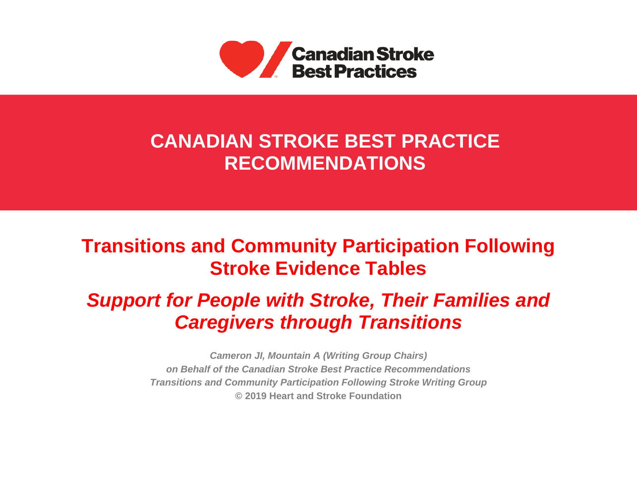

# **CANADIAN STROKE BEST PRACTICE RECOMMENDATIONS**

# **Transitions and Community Participation Following Stroke Evidence Tables**

# *Support for People with Stroke, Their Families and Caregivers through Transitions*

*Cameron JI, Mountain A (Writing Group Chairs) on Behalf of the Canadian Stroke Best Practice Recommendations Transitions and Community Participation Following Stroke Writing Group* **© 2019 Heart and Stroke Foundation**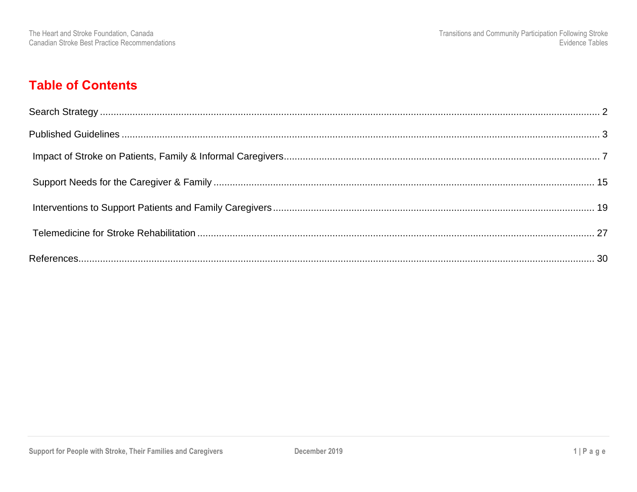### **Table of Contents**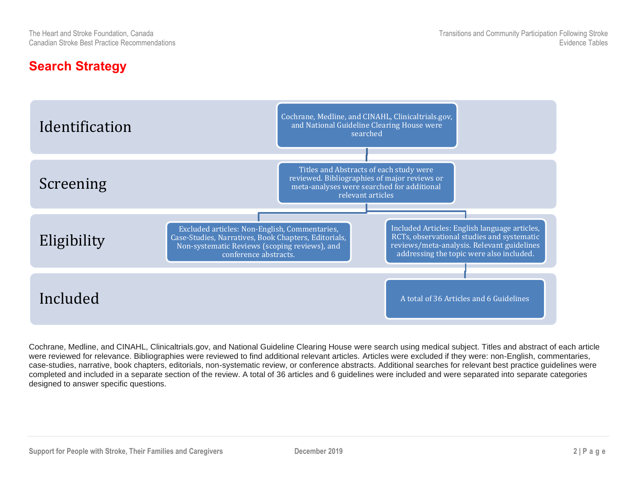### <span id="page-2-0"></span>**Search Strategy**



Cochrane, Medline, and CINAHL, Clinicaltrials.gov, and National Guideline Clearing House were search using medical subject. Titles and abstract of each article were reviewed for relevance. Bibliographies were reviewed to find additional relevant articles. Articles were excluded if they were: non-English, commentaries, case-studies, narrative, book chapters, editorials, non-systematic review, or conference abstracts. Additional searches for relevant best practice guidelines were completed and included in a separate section of the review. A total of 36 articles and 6 guidelines were included and were separated into separate categories designed to answer specific questions.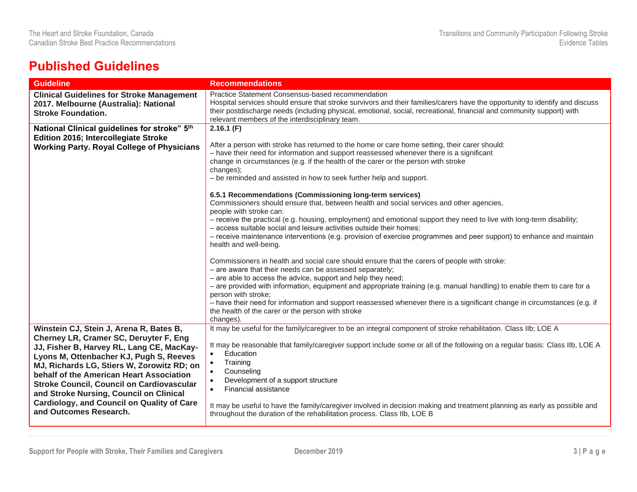### <span id="page-3-0"></span>**Published Guidelines**

| <b>Guideline</b>                                                                                                                                                                                                                                                                                                                                                   | <b>Recommendations</b>                                                                                                                                                                                                                                                                                                                                                                                                 |
|--------------------------------------------------------------------------------------------------------------------------------------------------------------------------------------------------------------------------------------------------------------------------------------------------------------------------------------------------------------------|------------------------------------------------------------------------------------------------------------------------------------------------------------------------------------------------------------------------------------------------------------------------------------------------------------------------------------------------------------------------------------------------------------------------|
| <b>Clinical Guidelines for Stroke Management</b><br>2017. Melbourne (Australia): National<br><b>Stroke Foundation.</b>                                                                                                                                                                                                                                             | Practice Statement Consensus-based recommendation<br>Hospital services should ensure that stroke survivors and their families/carers have the opportunity to identify and discuss<br>their postdischarge needs (including physical, emotional, social, recreational, financial and community support) with<br>relevant members of the interdisciplinary team.                                                          |
| National Clinical guidelines for stroke" 5th                                                                                                                                                                                                                                                                                                                       | 2.16.1(F)                                                                                                                                                                                                                                                                                                                                                                                                              |
| <b>Edition 2016; Intercollegiate Stroke</b><br><b>Working Party. Royal College of Physicians</b>                                                                                                                                                                                                                                                                   | After a person with stroke has returned to the home or care home setting, their carer should:<br>- have their need for information and support reassessed whenever there is a significant<br>change in circumstances (e.g. if the health of the carer or the person with stroke<br>changes);<br>- be reminded and assisted in how to seek further help and support.                                                    |
|                                                                                                                                                                                                                                                                                                                                                                    | 6.5.1 Recommendations (Commissioning long-term services)<br>Commissioners should ensure that, between health and social services and other agencies,<br>people with stroke can:<br>- receive the practical (e.g. housing, employment) and emotional support they need to live with long-term disability;                                                                                                               |
|                                                                                                                                                                                                                                                                                                                                                                    | - access suitable social and leisure activities outside their homes;<br>- receive maintenance interventions (e.g. provision of exercise programmes and peer support) to enhance and maintain<br>health and well-being.                                                                                                                                                                                                 |
|                                                                                                                                                                                                                                                                                                                                                                    | Commissioners in health and social care should ensure that the carers of people with stroke:<br>- are aware that their needs can be assessed separately;                                                                                                                                                                                                                                                               |
|                                                                                                                                                                                                                                                                                                                                                                    | - are able to access the advice, support and help they need;<br>- are provided with information, equipment and appropriate training (e.g. manual handling) to enable them to care for a<br>person with stroke;                                                                                                                                                                                                         |
|                                                                                                                                                                                                                                                                                                                                                                    | - have their need for information and support reassessed whenever there is a significant change in circumstances (e.g. if<br>the health of the carer or the person with stroke<br>changes).                                                                                                                                                                                                                            |
| Winstein CJ, Stein J, Arena R, Bates B,<br>Cherney LR, Cramer SC, Deruyter F, Eng<br>JJ, Fisher B, Harvey RL, Lang CE, MacKay-<br>Lyons M, Ottenbacher KJ, Pugh S, Reeves<br>MJ, Richards LG, Stiers W, Zorowitz RD; on<br>behalf of the American Heart Association<br><b>Stroke Council, Council on Cardiovascular</b><br>and Stroke Nursing, Council on Clinical | It may be useful for the family/caregiver to be an integral component of stroke rehabilitation. Class IIb; LOE A<br>It may be reasonable that family/caregiver support include some or all of the following on a regular basis: Class IIb, LOE A<br>Education<br>$\bullet$<br>Training<br>$\bullet$<br>Counseling<br>$\bullet$<br>Development of a support structure<br>$\bullet$<br>Financial assistance<br>$\bullet$ |
| <b>Cardiology, and Council on Quality of Care</b><br>and Outcomes Research.                                                                                                                                                                                                                                                                                        | It may be useful to have the family/caregiver involved in decision making and treatment planning as early as possible and<br>throughout the duration of the rehabilitation process. Class IIb, LOE B                                                                                                                                                                                                                   |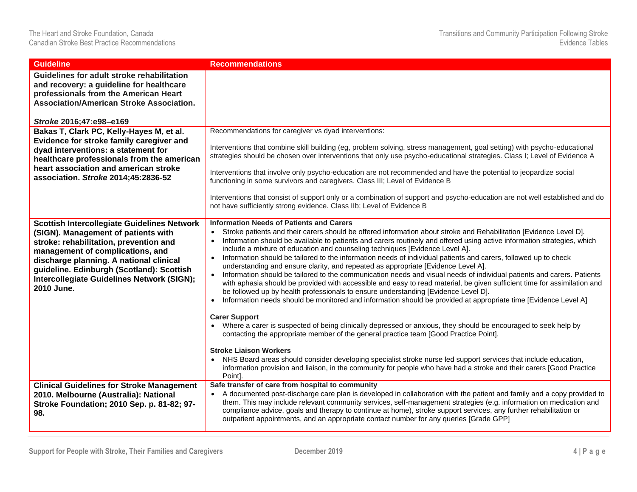| <b>Guideline</b>                                                                                                                                                                                                                                                                                                            | <b>Recommendations</b>                                                                                                                                                                                                                                                                                                                                                                                                                                                                                                                                                                                                                                                                                                                                                                                                                                                                                                                                                                                                                                                                                                                                                                                                                                                                                                                                                                                                                                                                                                                                                                                        |
|-----------------------------------------------------------------------------------------------------------------------------------------------------------------------------------------------------------------------------------------------------------------------------------------------------------------------------|---------------------------------------------------------------------------------------------------------------------------------------------------------------------------------------------------------------------------------------------------------------------------------------------------------------------------------------------------------------------------------------------------------------------------------------------------------------------------------------------------------------------------------------------------------------------------------------------------------------------------------------------------------------------------------------------------------------------------------------------------------------------------------------------------------------------------------------------------------------------------------------------------------------------------------------------------------------------------------------------------------------------------------------------------------------------------------------------------------------------------------------------------------------------------------------------------------------------------------------------------------------------------------------------------------------------------------------------------------------------------------------------------------------------------------------------------------------------------------------------------------------------------------------------------------------------------------------------------------------|
| Guidelines for adult stroke rehabilitation<br>and recovery: a guideline for healthcare<br>professionals from the American Heart<br><b>Association/American Stroke Association.</b>                                                                                                                                          |                                                                                                                                                                                                                                                                                                                                                                                                                                                                                                                                                                                                                                                                                                                                                                                                                                                                                                                                                                                                                                                                                                                                                                                                                                                                                                                                                                                                                                                                                                                                                                                                               |
| Stroke 2016;47:e98-e169                                                                                                                                                                                                                                                                                                     |                                                                                                                                                                                                                                                                                                                                                                                                                                                                                                                                                                                                                                                                                                                                                                                                                                                                                                                                                                                                                                                                                                                                                                                                                                                                                                                                                                                                                                                                                                                                                                                                               |
| Bakas T, Clark PC, Kelly-Hayes M, et al.<br>Evidence for stroke family caregiver and<br>dyad interventions: a statement for<br>healthcare professionals from the american<br>heart association and american stroke<br>association. Stroke 2014;45:2836-52                                                                   | Recommendations for caregiver vs dyad interventions:<br>Interventions that combine skill building (eg, problem solving, stress management, goal setting) with psycho-educational<br>strategies should be chosen over interventions that only use psycho-educational strategies. Class I; Level of Evidence A<br>Interventions that involve only psycho-education are not recommended and have the potential to jeopardize social<br>functioning in some survivors and caregivers. Class III; Level of Evidence B<br>Interventions that consist of support only or a combination of support and psycho-education are not well established and do<br>not have sufficiently strong evidence. Class IIb; Level of Evidence B                                                                                                                                                                                                                                                                                                                                                                                                                                                                                                                                                                                                                                                                                                                                                                                                                                                                                      |
| <b>Scottish Intercollegiate Guidelines Network</b><br>(SIGN). Management of patients with<br>stroke: rehabilitation, prevention and<br>management of complications, and<br>discharge planning. A national clinical<br>guideline. Edinburgh (Scotland): Scottish<br>Intercollegiate Guidelines Network (SIGN);<br>2010 June. | <b>Information Needs of Patients and Carers</b><br>Stroke patients and their carers should be offered information about stroke and Rehabilitation [Evidence Level D].<br>Information should be available to patients and carers routinely and offered using active information strategies, which<br>include a mixture of education and counseling techniques [Evidence Level A].<br>Information should be tailored to the information needs of individual patients and carers, followed up to check<br>$\bullet$<br>understanding and ensure clarity, and repeated as appropriate [Evidence Level A].<br>Information should be tailored to the communication needs and visual needs of individual patients and carers. Patients<br>with aphasia should be provided with accessible and easy to read material, be given sufficient time for assimilation and<br>be followed up by health professionals to ensure understanding [Evidence Level D].<br>Information needs should be monitored and information should be provided at appropriate time [Evidence Level A]<br>$\bullet$<br><b>Carer Support</b><br>• Where a carer is suspected of being clinically depressed or anxious, they should be encouraged to seek help by<br>contacting the appropriate member of the general practice team [Good Practice Point].<br><b>Stroke Liaison Workers</b><br>NHS Board areas should consider developing specialist stroke nurse led support services that include education,<br>information provision and liaison, in the community for people who have had a stroke and their carers [Good Practice<br>Point]. |
| <b>Clinical Guidelines for Stroke Management</b><br>2010. Melbourne (Australia): National<br>Stroke Foundation; 2010 Sep. p. 81-82; 97-<br>98.                                                                                                                                                                              | Safe transfer of care from hospital to community<br>A documented post-discharge care plan is developed in collaboration with the patient and family and a copy provided to<br>them. This may include relevant community services, self-management strategies (e.g. information on medication and<br>compliance advice, goals and therapy to continue at home), stroke support services, any further rehabilitation or<br>outpatient appointments, and an appropriate contact number for any queries [Grade GPP]                                                                                                                                                                                                                                                                                                                                                                                                                                                                                                                                                                                                                                                                                                                                                                                                                                                                                                                                                                                                                                                                                               |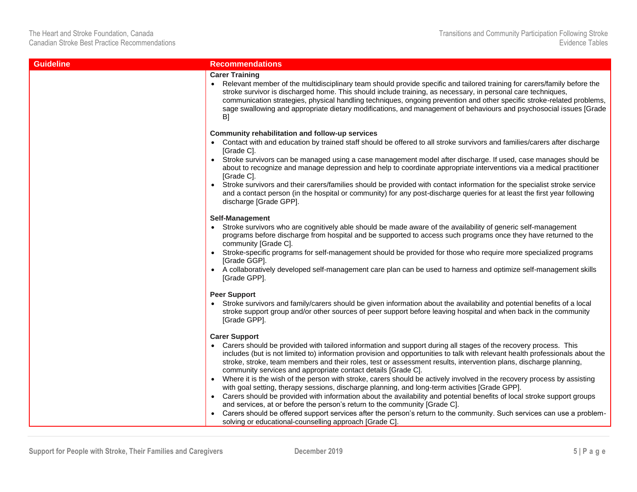| <b>Guideline</b> | <b>Recommendations</b>                                                                                                                                                                                                                                                                                                                                                                                                                                                                                                                                                                                                                                                                                                                                                                                                                                                                                                                                                                                                                                                                     |
|------------------|--------------------------------------------------------------------------------------------------------------------------------------------------------------------------------------------------------------------------------------------------------------------------------------------------------------------------------------------------------------------------------------------------------------------------------------------------------------------------------------------------------------------------------------------------------------------------------------------------------------------------------------------------------------------------------------------------------------------------------------------------------------------------------------------------------------------------------------------------------------------------------------------------------------------------------------------------------------------------------------------------------------------------------------------------------------------------------------------|
|                  | <b>Carer Training</b><br>• Relevant member of the multidisciplinary team should provide specific and tailored training for carers/family before the<br>stroke survivor is discharged home. This should include training, as necessary, in personal care techniques,<br>communication strategies, physical handling techniques, ongoing prevention and other specific stroke-related problems,<br>sage swallowing and appropriate dietary modifications, and management of behaviours and psychosocial issues [Grade<br>B]                                                                                                                                                                                                                                                                                                                                                                                                                                                                                                                                                                  |
|                  | Community rehabilitation and follow-up services<br>Contact with and education by trained staff should be offered to all stroke survivors and families/carers after discharge<br>[Grade C].<br>• Stroke survivors can be managed using a case management model after discharge. If used, case manages should be<br>about to recognize and manage depression and help to coordinate appropriate interventions via a medical practitioner<br>[Grade C].<br>Stroke survivors and their carers/families should be provided with contact information for the specialist stroke service<br>$\bullet$<br>and a contact person (in the hospital or community) for any post-discharge queries for at least the first year following<br>discharge [Grade GPP].                                                                                                                                                                                                                                                                                                                                        |
|                  | Self-Management<br>Stroke survivors who are cognitively able should be made aware of the availability of generic self-management<br>programs before discharge from hospital and be supported to access such programs once they have returned to the<br>community [Grade C].<br>Stroke-specific programs for self-management should be provided for those who require more specialized programs<br>[Grade GGP].<br>• A collaboratively developed self-management care plan can be used to harness and optimize self-management skills<br>[Grade GPP].                                                                                                                                                                                                                                                                                                                                                                                                                                                                                                                                       |
|                  | <b>Peer Support</b><br>Stroke survivors and family/carers should be given information about the availability and potential benefits of a local<br>stroke support group and/or other sources of peer support before leaving hospital and when back in the community<br>[Grade GPP].                                                                                                                                                                                                                                                                                                                                                                                                                                                                                                                                                                                                                                                                                                                                                                                                         |
|                  | <b>Carer Support</b><br>Carers should be provided with tailored information and support during all stages of the recovery process. This<br>includes (but is not limited to) information provision and opportunities to talk with relevant health professionals about the<br>stroke, stroke, team members and their roles, test or assessment results, intervention plans, discharge planning,<br>community services and appropriate contact details [Grade C].<br>• Where it is the wish of the person with stroke, carers should be actively involved in the recovery process by assisting<br>with goal setting, therapy sessions, discharge planning, and long-term activities [Grade GPP].<br>Carers should be provided with information about the availability and potential benefits of local stroke support groups<br>and services, at or before the person's return to the community [Grade C].<br>Carers should be offered support services after the person's return to the community. Such services can use a problem-<br>solving or educational-counselling approach [Grade C]. |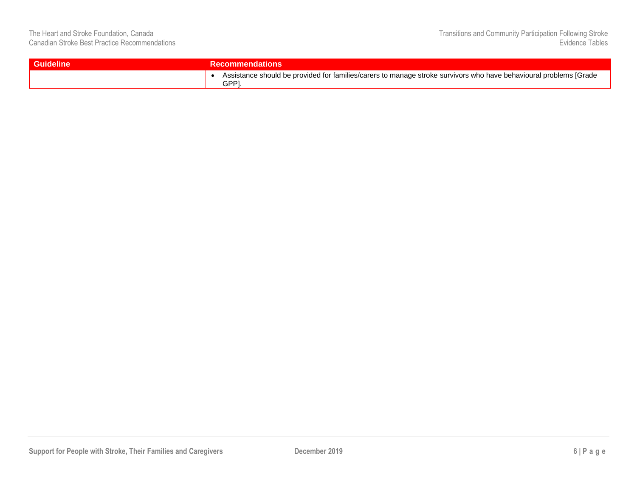| <b>Guideline</b> | <b>Recommendations</b>                                                                                                          |  |  |  |
|------------------|---------------------------------------------------------------------------------------------------------------------------------|--|--|--|
|                  | Assistance should be provided for families/carers to manage stroke survivors who have behavioural problems [Grade<br><b>GPP</b> |  |  |  |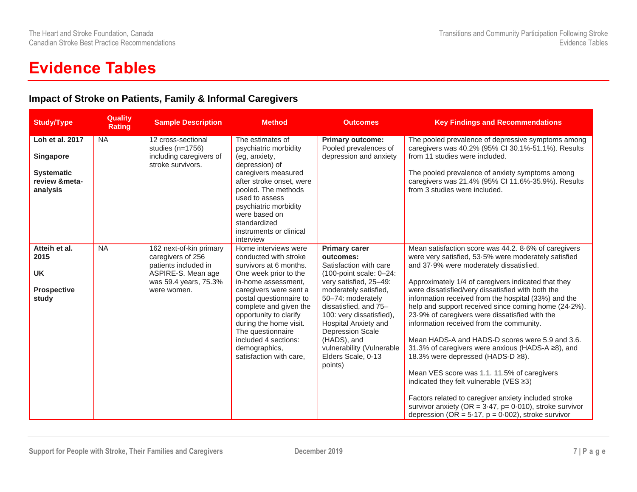## **Evidence Tables**

#### <span id="page-7-0"></span>**Impact of Stroke on Patients, Family & Informal Caregivers**

| <b>Study/Type</b>                                                              | <b>Quality</b><br><b>Rating</b> | <b>Sample Description</b>                                                                                                          | <b>Method</b>                                                                                                                                                                                                                                                                                                                                       | <b>Outcomes</b>                                                                                                                                                                                                                                                                                                                                           | <b>Key Findings and Recommendations</b>                                                                                                                                                                                                                                                                                                                                                                                                                                                                                                                                                                                                                                                                                                                                                                                                                                                                 |
|--------------------------------------------------------------------------------|---------------------------------|------------------------------------------------------------------------------------------------------------------------------------|-----------------------------------------------------------------------------------------------------------------------------------------------------------------------------------------------------------------------------------------------------------------------------------------------------------------------------------------------------|-----------------------------------------------------------------------------------------------------------------------------------------------------------------------------------------------------------------------------------------------------------------------------------------------------------------------------------------------------------|---------------------------------------------------------------------------------------------------------------------------------------------------------------------------------------------------------------------------------------------------------------------------------------------------------------------------------------------------------------------------------------------------------------------------------------------------------------------------------------------------------------------------------------------------------------------------------------------------------------------------------------------------------------------------------------------------------------------------------------------------------------------------------------------------------------------------------------------------------------------------------------------------------|
| Loh et al. 2017<br>Singapore<br><b>Systematic</b><br>review &meta-<br>analysis | <b>NA</b>                       | 12 cross-sectional<br>studies $(n=1756)$<br>including caregivers of<br>stroke survivors.                                           | The estimates of<br>psychiatric morbidity<br>(eg, anxiety,<br>depression) of<br>caregivers measured<br>after stroke onset, were<br>pooled. The methods<br>used to assess<br>psychiatric morbidity<br>were based on<br>standardized<br>instruments or clinical<br>interview                                                                          | <b>Primary outcome:</b><br>Pooled prevalences of<br>depression and anxiety                                                                                                                                                                                                                                                                                | The pooled prevalence of depressive symptoms among<br>caregivers was 40.2% (95% CI 30.1%-51.1%). Results<br>from 11 studies were included.<br>The pooled prevalence of anxiety symptoms among<br>caregivers was 21.4% (95% CI 11.6%-35.9%). Results<br>from 3 studies were included.                                                                                                                                                                                                                                                                                                                                                                                                                                                                                                                                                                                                                    |
| Atteih et al.<br>2015<br><b>UK</b><br><b>Prospective</b><br>study              | <b>NA</b>                       | 162 next-of-kin primary<br>caregivers of 256<br>patients included in<br>ASPIRE-S. Mean age<br>was 59.4 years, 75.3%<br>were women. | Home interviews were<br>conducted with stroke<br>survivors at 6 months.<br>One week prior to the<br>in-home assessment.<br>caregivers were sent a<br>postal questionnaire to<br>complete and given the<br>opportunity to clarify<br>during the home visit.<br>The questionnaire<br>included 4 sections:<br>demographics,<br>satisfaction with care, | <b>Primary carer</b><br>outcomes:<br>Satisfaction with care<br>$(100$ -point scale: $0-24$ :<br>very satisfied, 25-49:<br>moderately satisfied,<br>50-74: moderately<br>dissatisfied, and 75-<br>100: very dissatisfied),<br>Hospital Anxiety and<br><b>Depression Scale</b><br>(HADS), and<br>vulnerability (Vulnerable<br>Elders Scale, 0-13<br>points) | Mean satisfaction score was 44.2. 8.6% of caregivers<br>were very satisfied, 53.5% were moderately satisfied<br>and 37.9% were moderately dissatisfied.<br>Approximately 1/4 of caregivers indicated that they<br>were dissatisfied/very dissatisfied with both the<br>information received from the hospital (33%) and the<br>help and support received since coming home (24.2%).<br>23.9% of caregivers were dissatisfied with the<br>information received from the community.<br>Mean HADS-A and HADS-D scores were 5.9 and 3.6.<br>31.3% of caregivers were anxious (HADS-A ≥8), and<br>18.3% were depressed (HADS-D ≥8).<br>Mean VES score was 1.1. 11.5% of caregivers<br>indicated they felt vulnerable (VES ≥3)<br>Factors related to caregiver anxiety included stroke<br>survivor anxiety (OR = $3.47$ , p= 0.010), stroke survivor<br>depression (OR = $5.17$ , p = 0.002), stroke survivor |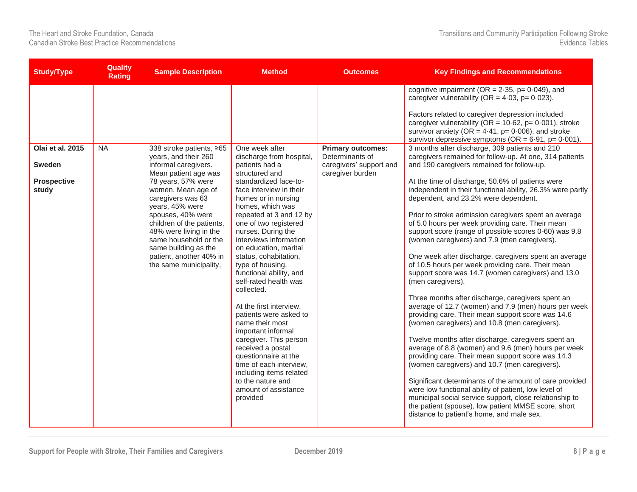| <b>Study/Type</b>                                         | <b>Quality</b><br><b>Rating</b> | <b>Sample Description</b>                                                                                                                                                                                                                                                                                                                                              | <b>Method</b>                                                                                                                                                                                                                                                                                                                                                                                                                                                                                                                                                                                                                                                                                                 | <b>Outcomes</b>                                                                            | <b>Key Findings and Recommendations</b>                                                                                                                                                                                                                                                                                                                                                                                                                                                                                                                                                                                                                                                                                                                                                                                                                                                                                                                                                                                                                                                                                                                                                                                                                                                                                                                                                                                                                                                                                                                                                                                                                                                                                                                                                                                 |
|-----------------------------------------------------------|---------------------------------|------------------------------------------------------------------------------------------------------------------------------------------------------------------------------------------------------------------------------------------------------------------------------------------------------------------------------------------------------------------------|---------------------------------------------------------------------------------------------------------------------------------------------------------------------------------------------------------------------------------------------------------------------------------------------------------------------------------------------------------------------------------------------------------------------------------------------------------------------------------------------------------------------------------------------------------------------------------------------------------------------------------------------------------------------------------------------------------------|--------------------------------------------------------------------------------------------|-------------------------------------------------------------------------------------------------------------------------------------------------------------------------------------------------------------------------------------------------------------------------------------------------------------------------------------------------------------------------------------------------------------------------------------------------------------------------------------------------------------------------------------------------------------------------------------------------------------------------------------------------------------------------------------------------------------------------------------------------------------------------------------------------------------------------------------------------------------------------------------------------------------------------------------------------------------------------------------------------------------------------------------------------------------------------------------------------------------------------------------------------------------------------------------------------------------------------------------------------------------------------------------------------------------------------------------------------------------------------------------------------------------------------------------------------------------------------------------------------------------------------------------------------------------------------------------------------------------------------------------------------------------------------------------------------------------------------------------------------------------------------------------------------------------------------|
| Olai et al. 2015<br><b>Sweden</b><br>Prospective<br>study | <b>NA</b>                       | 338 stroke patients, ≥65<br>years, and their 260<br>informal caregivers.<br>Mean patient age was<br>78 years, 57% were<br>women. Mean age of<br>caregivers was 63<br>years, 45% were<br>spouses, 40% were<br>children of the patients,<br>48% were living in the<br>same household or the<br>same building as the<br>patient, another 40% in<br>the same municipality, | One week after<br>discharge from hospital,<br>patients had a<br>structured and<br>standardized face-to-<br>face interview in their<br>homes or in nursing<br>homes, which was<br>repeated at 3 and 12 by<br>one of two registered<br>nurses. During the<br>interviews information<br>on education, marital<br>status, cohabitation,<br>type of housing,<br>functional ability, and<br>self-rated health was<br>collected.<br>At the first interview,<br>patients were asked to<br>name their most<br>important informal<br>caregiver. This person<br>received a postal<br>questionnaire at the<br>time of each interview,<br>including items related<br>to the nature and<br>amount of assistance<br>provided | <b>Primary outcomes:</b><br>Determinants of<br>caregivers' support and<br>caregiver burden | cognitive impairment ( $OR = 2.35$ , $p = 0.049$ ), and<br>caregiver vulnerability (OR = $4.03$ , p= $0.023$ ).<br>Factors related to caregiver depression included<br>caregiver vulnerability (OR = $10.62$ , p= $0.001$ ), stroke<br>survivor anxiety (OR = $4.41$ , p= 0.006), and stroke<br>survivor depressive symptoms ( $OR = 6.91$ , $p = 0.001$ ).<br>3 months after discharge, 309 patients and 210<br>caregivers remained for follow-up. At one, 314 patients<br>and 190 caregivers remained for follow-up.<br>At the time of discharge, 50.6% of patients were<br>independent in their functional ability, 26.3% were partly<br>dependent, and 23.2% were dependent.<br>Prior to stroke admission caregivers spent an average<br>of 5.0 hours per week providing care. Their mean<br>support score (range of possible scores 0-60) was 9.8<br>(women caregivers) and 7.9 (men caregivers).<br>One week after discharge, caregivers spent an average<br>of 10.5 hours per week providing care. Their mean<br>support score was 14.7 (women caregivers) and 13.0<br>(men caregivers).<br>Three months after discharge, caregivers spent an<br>average of 12.7 (women) and 7.9 (men) hours per week<br>providing care. Their mean support score was 14.6<br>(women caregivers) and 10.8 (men caregivers).<br>Twelve months after discharge, caregivers spent an<br>average of 8.8 (women) and 9.6 (men) hours per week<br>providing care. Their mean support score was 14.3<br>(women caregivers) and 10.7 (men caregivers).<br>Significant determinants of the amount of care provided<br>were low functional ability of patient, low level of<br>municipal social service support, close relationship to<br>the patient (spouse), low patient MMSE score, short<br>distance to patient's home, and male sex. |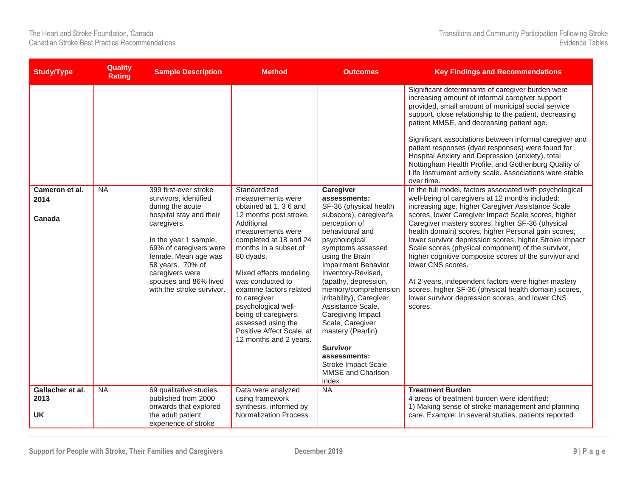| <b>Study/Type</b>                     | <b>Quality</b><br><b>Rating</b> | <b>Sample Description</b>                                                                                                                                                                                                                                                            | <b>Method</b>                                                                                                                                                                                                                                                                                                                                                                                                 | <b>Outcomes</b>                                                                                                                                                                                                                                                                                                                                                                                                                                                                 | <b>Key Findings and Recommendations</b>                                                                                                                                                                                                                                                                                                                                                                                                                                                                                                                                                                                                                                                                                                                                                                                                                                                                                                                                                                                                                                                                                                                                                                                                                                                                              |
|---------------------------------------|---------------------------------|--------------------------------------------------------------------------------------------------------------------------------------------------------------------------------------------------------------------------------------------------------------------------------------|---------------------------------------------------------------------------------------------------------------------------------------------------------------------------------------------------------------------------------------------------------------------------------------------------------------------------------------------------------------------------------------------------------------|---------------------------------------------------------------------------------------------------------------------------------------------------------------------------------------------------------------------------------------------------------------------------------------------------------------------------------------------------------------------------------------------------------------------------------------------------------------------------------|----------------------------------------------------------------------------------------------------------------------------------------------------------------------------------------------------------------------------------------------------------------------------------------------------------------------------------------------------------------------------------------------------------------------------------------------------------------------------------------------------------------------------------------------------------------------------------------------------------------------------------------------------------------------------------------------------------------------------------------------------------------------------------------------------------------------------------------------------------------------------------------------------------------------------------------------------------------------------------------------------------------------------------------------------------------------------------------------------------------------------------------------------------------------------------------------------------------------------------------------------------------------------------------------------------------------|
| Cameron et al.<br>2014<br>Canada      | <b>NA</b>                       | 399 first-ever stroke<br>survivors, identified<br>during the acute<br>hospital stay and their<br>caregivers.<br>In the year 1 sample,<br>69% of caregivers were<br>female. Mean age was<br>58 years. 70% of<br>caregivers were<br>spouses and 86% lived<br>with the stroke survivor. | Standardized<br>measurements were<br>obtained at 1, 3 6 and<br>12 months post stroke.<br>Additional<br>measurements were<br>completed at 18 and 24<br>months in a subset of<br>80 dyads.<br>Mixed effects modeling<br>was conducted to<br>examine factors related<br>to caregiver<br>psychological well-<br>being of caregivers,<br>assessed using the<br>Positive Affect Scale, at<br>12 months and 2 years. | Caregiver<br>assessments:<br>SF-36 (physical health<br>subscore), caregiver's<br>perception of<br>behavioural and<br>psychological<br>symptoms assessed<br>using the Brain<br>Impairment Behavior<br>Inventory-Revised,<br>(apathy, depression,<br>memory/comprehension<br>irritability), Caregiver<br>Assistance Scale,<br>Caregiving Impact<br>Scale, Caregiver<br>mastery (Pearlin)<br><b>Survivor</b><br>assessments:<br>Stroke Impact Scale,<br>MMSE and Charlson<br>index | Significant determinants of caregiver burden were<br>increasing amount of informal caregiver support<br>provided, small amount of municipal social service<br>support, close relationship to the patient, decreasing<br>patient MMSE, and decreasing patient age.<br>Significant associations between informal caregiver and<br>patient responses (dyad responses) were found for<br>Hospital Anxiety and Depression (anxiety), total<br>Nottingham Health Profile, and Gothenburg Quality of<br>Life Instrument activity scale. Associations were stable<br>over time.<br>In the full model, factors associated with psychological<br>well-being of caregivers at 12 months included:<br>increasing age, higher Caregiver Assistance Scale<br>scores, lower Caregiver Impact Scale scores, higher<br>Caregiver mastery scores, higher SF-36 (physical<br>health domain) scores, higher Personal gain scores,<br>lower survivor depression scores, higher Stroke Impact<br>Scale scores (physical component) of the survivor,<br>higher cognitive composite scores of the survivor and<br>lower CNS scores.<br>At 2 years, independent factors were higher mastery<br>scores, higher SF-36 (physical health domain) scores,<br>lower survivor depression scores, and lower CNS<br>scores.<br><b>Treatment Burden</b> |
| Gallacher et al.<br>2013<br><b>UK</b> | <b>NA</b>                       | 69 qualitative studies,<br>published from 2000<br>onwards that explored<br>the adult patient<br>experience of stroke                                                                                                                                                                 | Data were analyzed<br>using framework<br>synthesis, informed by<br><b>Normalization Process</b>                                                                                                                                                                                                                                                                                                               | <b>NA</b>                                                                                                                                                                                                                                                                                                                                                                                                                                                                       | 4 areas of treatment burden were identified:<br>1) Making sense of stroke management and planning<br>care. Example: In several studies, patients reported                                                                                                                                                                                                                                                                                                                                                                                                                                                                                                                                                                                                                                                                                                                                                                                                                                                                                                                                                                                                                                                                                                                                                            |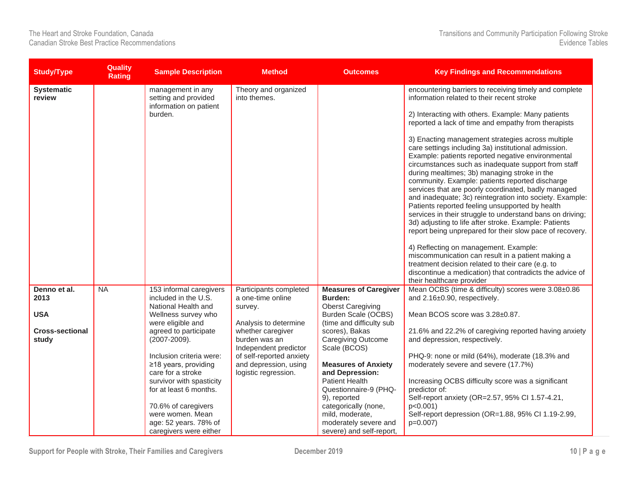| <b>Study/Type</b>               | <b>Quality</b><br><b>Rating</b> | <b>Sample Description</b>                                              | <b>Method</b>                                                             | <b>Outcomes</b>                                                      | <b>Key Findings and Recommendations</b>                                                                                                                                                                                                                                                                                                                                                                                                                                                                                                                                                                                                                                                                                                                                                                                             |
|---------------------------------|---------------------------------|------------------------------------------------------------------------|---------------------------------------------------------------------------|----------------------------------------------------------------------|-------------------------------------------------------------------------------------------------------------------------------------------------------------------------------------------------------------------------------------------------------------------------------------------------------------------------------------------------------------------------------------------------------------------------------------------------------------------------------------------------------------------------------------------------------------------------------------------------------------------------------------------------------------------------------------------------------------------------------------------------------------------------------------------------------------------------------------|
| <b>Systematic</b><br>review     |                                 | management in any<br>setting and provided                              | Theory and organized<br>into themes.                                      |                                                                      | encountering barriers to receiving timely and complete<br>information related to their recent stroke                                                                                                                                                                                                                                                                                                                                                                                                                                                                                                                                                                                                                                                                                                                                |
|                                 |                                 | information on patient<br>burden.                                      |                                                                           |                                                                      | 2) Interacting with others. Example: Many patients<br>reported a lack of time and empathy from therapists                                                                                                                                                                                                                                                                                                                                                                                                                                                                                                                                                                                                                                                                                                                           |
|                                 |                                 |                                                                        |                                                                           |                                                                      | 3) Enacting management strategies across multiple<br>care settings including 3a) institutional admission.<br>Example: patients reported negative environmental<br>circumstances such as inadequate support from staff<br>during mealtimes; 3b) managing stroke in the<br>community. Example: patients reported discharge<br>services that are poorly coordinated, badly managed<br>and inadequate; 3c) reintegration into society. Example:<br>Patients reported feeling unsupported by health<br>services in their struggle to understand bans on driving;<br>3d) adjusting to life after stroke. Example: Patients<br>report being unprepared for their slow pace of recovery.<br>4) Reflecting on management. Example:<br>miscommunication can result in a patient making a<br>treatment decision related to their care (e.g. to |
|                                 |                                 |                                                                        |                                                                           |                                                                      | discontinue a medication) that contradicts the advice of<br>their healthcare provider                                                                                                                                                                                                                                                                                                                                                                                                                                                                                                                                                                                                                                                                                                                                               |
| Denno et al.<br>2013            | <b>NA</b>                       | 153 informal caregivers<br>included in the U.S.<br>National Health and | Participants completed<br>a one-time online<br>survey.                    | <b>Measures of Caregiver</b><br>Burden:<br><b>Oberst Caregiving</b>  | Mean OCBS (time & difficulty) scores were 3.08±0.86<br>and 2.16±0.90, respectively.                                                                                                                                                                                                                                                                                                                                                                                                                                                                                                                                                                                                                                                                                                                                                 |
| <b>USA</b>                      |                                 | Wellness survey who<br>were eligible and                               | Analysis to determine                                                     | Burden Scale (OCBS)<br>(time and difficulty sub                      | Mean BCOS score was 3.28±0.87.                                                                                                                                                                                                                                                                                                                                                                                                                                                                                                                                                                                                                                                                                                                                                                                                      |
| <b>Cross-sectional</b><br>study |                                 | agreed to participate<br>(2007-2009).                                  | whether caregiver<br>burden was an<br>Independent predictor               | scores), Bakas<br>Caregiving Outcome<br>Scale (BCOS)                 | 21.6% and 22.2% of caregiving reported having anxiety<br>and depression, respectively.                                                                                                                                                                                                                                                                                                                                                                                                                                                                                                                                                                                                                                                                                                                                              |
|                                 |                                 | Inclusion criteria were:<br>≥18 years, providing<br>care for a stroke  | of self-reported anxiety<br>and depression, using<br>logistic regression. | <b>Measures of Anxiety</b><br>and Depression:                        | PHQ-9: none or mild (64%), moderate (18.3% and<br>moderately severe and severe (17.7%)                                                                                                                                                                                                                                                                                                                                                                                                                                                                                                                                                                                                                                                                                                                                              |
|                                 |                                 | survivor with spasticity<br>for at least 6 months.                     |                                                                           | <b>Patient Health</b><br>Questionnaire-9 (PHQ-                       | Increasing OCBS difficulty score was a significant<br>predictor of:                                                                                                                                                                                                                                                                                                                                                                                                                                                                                                                                                                                                                                                                                                                                                                 |
|                                 |                                 | 70.6% of caregivers                                                    |                                                                           | 9), reported<br>categorically (none,                                 | Self-report anxiety (OR=2.57, 95% Cl 1.57-4.21,<br>$p<0.001$ )                                                                                                                                                                                                                                                                                                                                                                                                                                                                                                                                                                                                                                                                                                                                                                      |
|                                 |                                 | were women. Mean<br>age: 52 years. 78% of<br>caregivers were either    |                                                                           | mild, moderate,<br>moderately severe and<br>severe) and self-report, | Self-report depression (OR=1.88, 95% CI 1.19-2.99,<br>$p=0.007$ )                                                                                                                                                                                                                                                                                                                                                                                                                                                                                                                                                                                                                                                                                                                                                                   |

Support for People with Stroke, Their Families and Caregivers December 2019 **10** P a g e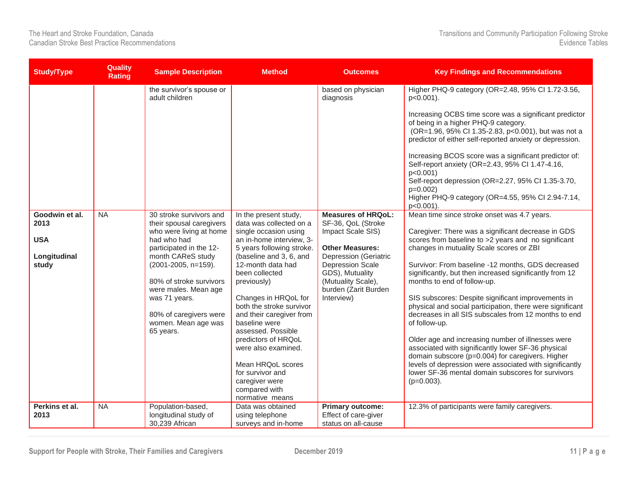| <b>Study/Type</b>                                             | <b>Quality</b><br>Rating | <b>Sample Description</b>                                                                                                                                                                                                                                                                              | <b>Method</b>                                                                                                                                                                                                                                                                                                                                                                                                                                                                           | <b>Outcomes</b>                                                                                                                                                                                                                          | <b>Key Findings and Recommendations</b>                                                                                                                                                                                                                                                                                                                                                                                                                                                                                                                                                                                                                                                                                                                                                                                                         |
|---------------------------------------------------------------|--------------------------|--------------------------------------------------------------------------------------------------------------------------------------------------------------------------------------------------------------------------------------------------------------------------------------------------------|-----------------------------------------------------------------------------------------------------------------------------------------------------------------------------------------------------------------------------------------------------------------------------------------------------------------------------------------------------------------------------------------------------------------------------------------------------------------------------------------|------------------------------------------------------------------------------------------------------------------------------------------------------------------------------------------------------------------------------------------|-------------------------------------------------------------------------------------------------------------------------------------------------------------------------------------------------------------------------------------------------------------------------------------------------------------------------------------------------------------------------------------------------------------------------------------------------------------------------------------------------------------------------------------------------------------------------------------------------------------------------------------------------------------------------------------------------------------------------------------------------------------------------------------------------------------------------------------------------|
|                                                               |                          | the survivor's spouse or<br>adult children                                                                                                                                                                                                                                                             |                                                                                                                                                                                                                                                                                                                                                                                                                                                                                         | based on physician<br>diagnosis                                                                                                                                                                                                          | Higher PHQ-9 category (OR=2.48, 95% CI 1.72-3.56,<br>p<0.001).<br>Increasing OCBS time score was a significant predictor<br>of being in a higher PHQ-9 category.<br>(OR=1.96, 95% Cl 1.35-2.83, p<0.001), but was not a<br>predictor of either self-reported anxiety or depression.<br>Increasing BCOS score was a significant predictor of:<br>Self-report anxiety (OR=2.43, 95% Cl 1.47-4.16,<br>$p<0.001$ )<br>Self-report depression (OR=2.27, 95% Cl 1.35-3.70,<br>$p=0.002$<br>Higher PHQ-9 category (OR=4.55, 95% CI 2.94-7.14,<br>$p<0.001$ ).                                                                                                                                                                                                                                                                                          |
| Goodwin et al.<br>2013<br><b>USA</b><br>Longitudinal<br>study | NA                       | 30 stroke survivors and<br>their spousal caregivers<br>who were living at home<br>had who had<br>participated in the 12-<br>month CAReS study<br>(2001-2005, n=159).<br>80% of stroke survivors<br>were males. Mean age<br>was 71 years.<br>80% of caregivers were<br>women. Mean age was<br>65 years. | In the present study,<br>data was collected on a<br>single occasion using<br>an in-home interview, 3-<br>5 years following stroke.<br>(baseline and 3, 6, and<br>12-month data had<br>been collected<br>previously)<br>Changes in HRQoL for<br>both the stroke survivor<br>and their caregiver from<br>baseline were<br>assessed. Possible<br>predictors of HRQoL<br>were also examined.<br>Mean HRQoL scores<br>for survivor and<br>caregiver were<br>compared with<br>normative means | <b>Measures of HRQoL:</b><br>SF-36, QoL (Stroke<br>Impact Scale SIS)<br><b>Other Measures:</b><br><b>Depression (Geriatric</b><br><b>Depression Scale</b><br>GDS), Mutuality<br>(Mutuality Scale),<br>burden (Zarit Burden<br>Interview) | Mean time since stroke onset was 4.7 years.<br>Caregiver: There was a significant decrease in GDS<br>scores from baseline to >2 years and no significant<br>changes in mutuality Scale scores or ZBI<br>Survivor: From baseline -12 months, GDS decreased<br>significantly, but then increased significantly from 12<br>months to end of follow-up.<br>SIS subscores: Despite significant improvements in<br>physical and social participation, there were significant<br>decreases in all SIS subscales from 12 months to end<br>of follow-up.<br>Older age and increasing number of illnesses were<br>associated with significantly lower SF-36 physical<br>domain subscore (p=0.004) for caregivers. Higher<br>levels of depression were associated with significantly<br>lower SF-36 mental domain subscores for survivors<br>$(p=0.003)$ . |
| Perkins et al.<br>2013                                        | <b>NA</b>                | Population-based,<br>longitudinal study of<br>30,239 African                                                                                                                                                                                                                                           | Data was obtained<br>using telephone<br>surveys and in-home                                                                                                                                                                                                                                                                                                                                                                                                                             | <b>Primary outcome:</b><br>Effect of care-giver<br>status on all-cause                                                                                                                                                                   | 12.3% of participants were family caregivers.                                                                                                                                                                                                                                                                                                                                                                                                                                                                                                                                                                                                                                                                                                                                                                                                   |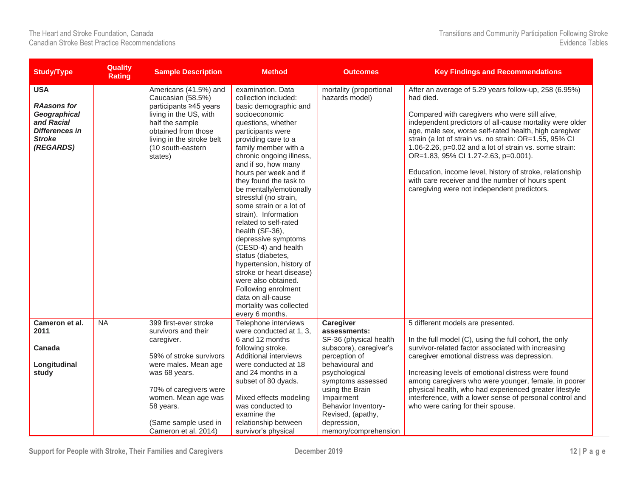| <b>Study/Type</b>                                                                                                     | <b>Quality</b><br><b>Rating</b> | <b>Sample Description</b>                                                                                                                                                                             | <b>Method</b>                                                                                                                                                                                                                                                                                                                                                                                                                                                                                                                                                                                                                                                                      | <b>Outcomes</b>                           | <b>Key Findings and Recommendations</b>                                                                                                                                                                                                                                                                                                                                                                                                                                                                                                                               |
|-----------------------------------------------------------------------------------------------------------------------|---------------------------------|-------------------------------------------------------------------------------------------------------------------------------------------------------------------------------------------------------|------------------------------------------------------------------------------------------------------------------------------------------------------------------------------------------------------------------------------------------------------------------------------------------------------------------------------------------------------------------------------------------------------------------------------------------------------------------------------------------------------------------------------------------------------------------------------------------------------------------------------------------------------------------------------------|-------------------------------------------|-----------------------------------------------------------------------------------------------------------------------------------------------------------------------------------------------------------------------------------------------------------------------------------------------------------------------------------------------------------------------------------------------------------------------------------------------------------------------------------------------------------------------------------------------------------------------|
| <b>USA</b><br><b>RAasons for</b><br>Geographical<br>and Racial<br><b>Differences in</b><br><b>Stroke</b><br>(REGARDS) |                                 | Americans (41.5%) and<br>Caucasian (58.5%)<br>participants ≥45 years<br>living in the US, with<br>half the sample<br>obtained from those<br>living in the stroke belt<br>(10 south-eastern<br>states) | examination. Data<br>collection included:<br>basic demographic and<br>socioeconomic<br>questions, whether<br>participants were<br>providing care to a<br>family member with a<br>chronic ongoing illness,<br>and if so, how many<br>hours per week and if<br>they found the task to<br>be mentally/emotionally<br>stressful (no strain,<br>some strain or a lot of<br>strain). Information<br>related to self-rated<br>health (SF-36),<br>depressive symptoms<br>(CESD-4) and health<br>status (diabetes,<br>hypertension, history of<br>stroke or heart disease)<br>were also obtained.<br>Following enrolment<br>data on all-cause<br>mortality was collected<br>every 6 months. | mortality (proportional<br>hazards model) | After an average of 5.29 years follow-up, 258 (6.95%)<br>had died.<br>Compared with caregivers who were still alive,<br>independent predictors of all-cause mortality were older<br>age, male sex, worse self-rated health, high caregiver<br>strain (a lot of strain vs. no strain: OR=1.55, 95% CI<br>1.06-2.26, p=0.02 and a lot of strain vs. some strain:<br>OR=1.83, 95% CI 1.27-2.63, p=0.001).<br>Education, income level, history of stroke, relationship<br>with care receiver and the number of hours spent<br>caregiving were not independent predictors. |
| Cameron et al.<br>2011                                                                                                | <b>NA</b>                       | 399 first-ever stroke<br>survivors and their                                                                                                                                                          | Telephone interviews                                                                                                                                                                                                                                                                                                                                                                                                                                                                                                                                                                                                                                                               | Caregiver                                 | 5 different models are presented.                                                                                                                                                                                                                                                                                                                                                                                                                                                                                                                                     |
|                                                                                                                       |                                 | caregiver.                                                                                                                                                                                            | were conducted at 1, 3,<br>6 and 12 months                                                                                                                                                                                                                                                                                                                                                                                                                                                                                                                                                                                                                                         | assessments:<br>SF-36 (physical health    | In the full model (C), using the full cohort, the only                                                                                                                                                                                                                                                                                                                                                                                                                                                                                                                |
| Canada                                                                                                                |                                 |                                                                                                                                                                                                       | following stroke.                                                                                                                                                                                                                                                                                                                                                                                                                                                                                                                                                                                                                                                                  | subscore), caregiver's                    | survivor-related factor associated with increasing                                                                                                                                                                                                                                                                                                                                                                                                                                                                                                                    |
| Longitudinal                                                                                                          |                                 | 59% of stroke survivors<br>were males. Mean age                                                                                                                                                       | Additional interviews<br>were conducted at 18                                                                                                                                                                                                                                                                                                                                                                                                                                                                                                                                                                                                                                      | perception of<br>behavioural and          | caregiver emotional distress was depression.                                                                                                                                                                                                                                                                                                                                                                                                                                                                                                                          |
| study                                                                                                                 |                                 | was 68 years.                                                                                                                                                                                         | and 24 months in a                                                                                                                                                                                                                                                                                                                                                                                                                                                                                                                                                                                                                                                                 | psychological                             | Increasing levels of emotional distress were found                                                                                                                                                                                                                                                                                                                                                                                                                                                                                                                    |
|                                                                                                                       |                                 |                                                                                                                                                                                                       | subset of 80 dyads.                                                                                                                                                                                                                                                                                                                                                                                                                                                                                                                                                                                                                                                                | symptoms assessed                         | among caregivers who were younger, female, in poorer                                                                                                                                                                                                                                                                                                                                                                                                                                                                                                                  |
|                                                                                                                       |                                 | 70% of caregivers were                                                                                                                                                                                |                                                                                                                                                                                                                                                                                                                                                                                                                                                                                                                                                                                                                                                                                    | using the Brain                           | physical health, who had experienced greater lifestyle                                                                                                                                                                                                                                                                                                                                                                                                                                                                                                                |
|                                                                                                                       |                                 | women. Mean age was                                                                                                                                                                                   | Mixed effects modeling                                                                                                                                                                                                                                                                                                                                                                                                                                                                                                                                                                                                                                                             | Impairment                                | interference, with a lower sense of personal control and                                                                                                                                                                                                                                                                                                                                                                                                                                                                                                              |
|                                                                                                                       |                                 | 58 years.                                                                                                                                                                                             | was conducted to                                                                                                                                                                                                                                                                                                                                                                                                                                                                                                                                                                                                                                                                   | Behavior Inventory-                       | who were caring for their spouse.                                                                                                                                                                                                                                                                                                                                                                                                                                                                                                                                     |
|                                                                                                                       |                                 |                                                                                                                                                                                                       | examine the                                                                                                                                                                                                                                                                                                                                                                                                                                                                                                                                                                                                                                                                        | Revised, (apathy,                         |                                                                                                                                                                                                                                                                                                                                                                                                                                                                                                                                                                       |
|                                                                                                                       |                                 | (Same sample used in<br>Cameron et al. 2014)                                                                                                                                                          | relationship between<br>survivor's physical                                                                                                                                                                                                                                                                                                                                                                                                                                                                                                                                                                                                                                        | depression,<br>memory/comprehension       |                                                                                                                                                                                                                                                                                                                                                                                                                                                                                                                                                                       |

**Support for People with Stroke, Their Families and Caregivers December 2019 12 | P a g e**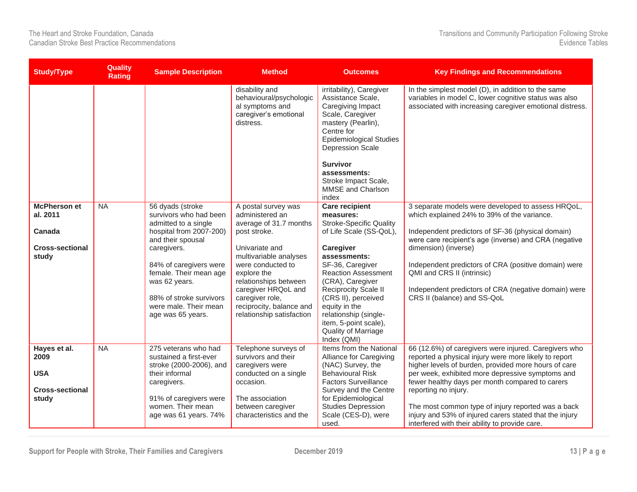| <b>Study/Type</b>                                                            | <b>Quality</b><br><b>Rating</b> | <b>Sample Description</b>                                                                                                                                                                                                                                                       | <b>Method</b>                                                                                                                                                                                                                                                                                | <b>Outcomes</b>                                                                                                                                                                                                                                                                                                                                            | <b>Key Findings and Recommendations</b>                                                                                                                                                                                                                                                                                                                                                                                                                                  |
|------------------------------------------------------------------------------|---------------------------------|---------------------------------------------------------------------------------------------------------------------------------------------------------------------------------------------------------------------------------------------------------------------------------|----------------------------------------------------------------------------------------------------------------------------------------------------------------------------------------------------------------------------------------------------------------------------------------------|------------------------------------------------------------------------------------------------------------------------------------------------------------------------------------------------------------------------------------------------------------------------------------------------------------------------------------------------------------|--------------------------------------------------------------------------------------------------------------------------------------------------------------------------------------------------------------------------------------------------------------------------------------------------------------------------------------------------------------------------------------------------------------------------------------------------------------------------|
|                                                                              |                                 |                                                                                                                                                                                                                                                                                 | disability and<br>behavioural/psychologic<br>al symptoms and<br>caregiver's emotional<br>distress.                                                                                                                                                                                           | irritability), Caregiver<br>Assistance Scale,<br>Caregiving Impact<br>Scale, Caregiver<br>mastery (Pearlin),<br>Centre for<br><b>Epidemiological Studies</b><br>Depression Scale<br><b>Survivor</b><br>assessments:<br>Stroke Impact Scale,<br>MMSE and Charlson<br>index                                                                                  | In the simplest model (D), in addition to the same<br>variables in model C, lower cognitive status was also<br>associated with increasing caregiver emotional distress.                                                                                                                                                                                                                                                                                                  |
| <b>McPherson et</b><br>al. 2011<br>Canada<br><b>Cross-sectional</b><br>study | $\overline{\mathsf{NA}}$        | 56 dyads (stroke<br>survivors who had been<br>admitted to a single<br>hospital from 2007-200)<br>and their spousal<br>caregivers.<br>84% of caregivers were<br>female. Their mean age<br>was 62 years.<br>88% of stroke survivors<br>were male. Their mean<br>age was 65 years. | A postal survey was<br>administered an<br>average of 31.7 months<br>post stroke.<br>Univariate and<br>multivariable analyses<br>were conducted to<br>explore the<br>relationships between<br>caregiver HRQoL and<br>caregiver role,<br>reciprocity, balance and<br>relationship satisfaction | <b>Care recipient</b><br>measures:<br><b>Stroke-Specific Quality</b><br>of Life Scale (SS-QoL),<br>Caregiver<br>assessments:<br>SF-36, Caregiver<br><b>Reaction Assessment</b><br>(CRA), Caregiver<br>Reciprocity Scale II<br>(CRS II), perceived<br>equity in the<br>relationship (single-<br>item, 5-point scale),<br>Quality of Marriage<br>Index (QMI) | 3 separate models were developed to assess HRQoL,<br>which explained 24% to 39% of the variance.<br>Independent predictors of SF-36 (physical domain)<br>were care recipient's age (inverse) and CRA (negative<br>dimension) (inverse)<br>Independent predictors of CRA (positive domain) were<br>QMI and CRS II (intrinsic)<br>Independent predictors of CRA (negative domain) were<br>CRS II (balance) and SS-QoL                                                      |
| Hayes et al.<br>2009<br><b>USA</b><br><b>Cross-sectional</b><br>study        | $\overline{\mathsf{NA}}$        | 275 veterans who had<br>sustained a first-ever<br>stroke (2000-2006), and<br>their informal<br>caregivers.<br>91% of caregivers were<br>women. Their mean<br>age was 61 years. 74%                                                                                              | Telephone surveys of<br>survivors and their<br>caregivers were<br>conducted on a single<br>occasion.<br>The association<br>between caregiver<br>characteristics and the                                                                                                                      | Items from the National<br>Alliance for Caregiving<br>(NAC) Survey, the<br><b>Behavioural Risk</b><br><b>Factors Surveillance</b><br>Survey and the Centre<br>for Epidemiological<br><b>Studies Depression</b><br>Scale (CES-D), were<br>used.                                                                                                             | 66 (12.6%) of caregivers were injured. Caregivers who<br>reported a physical injury were more likely to report<br>higher levels of burden, provided more hours of care<br>per week, exhibited more depressive symptoms and<br>fewer healthy days per month compared to carers<br>reporting no injury.<br>The most common type of injury reported was a back<br>injury and 53% of injured carers stated that the injury<br>interfered with their ability to provide care. |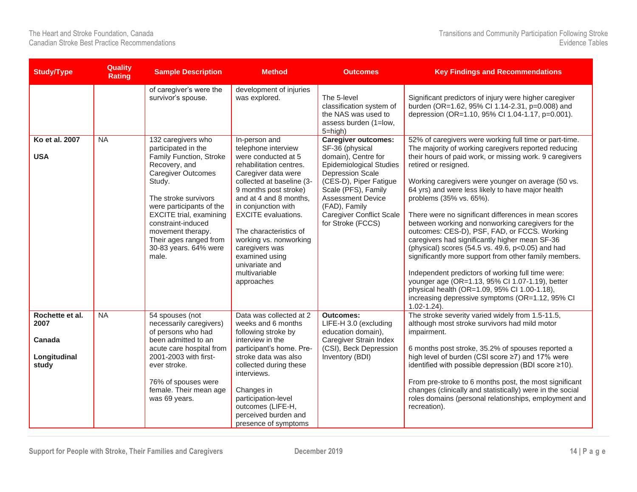| <b>Study/Type</b>                                          | <b>Quality</b><br><b>Rating</b> | <b>Sample Description</b>                                                                                                                                                                                                                                                                                                 | <b>Method</b>                                                                                                                                                                                                                                                                                                                                                                               | <b>Outcomes</b>                                                                                                                                                                                                                                                                         | <b>Key Findings and Recommendations</b>                                                                                                                                                                                                                                                                                                                                                                                                                                                                                                                                                                                                                                                                                                                                                                                                                                                             |
|------------------------------------------------------------|---------------------------------|---------------------------------------------------------------------------------------------------------------------------------------------------------------------------------------------------------------------------------------------------------------------------------------------------------------------------|---------------------------------------------------------------------------------------------------------------------------------------------------------------------------------------------------------------------------------------------------------------------------------------------------------------------------------------------------------------------------------------------|-----------------------------------------------------------------------------------------------------------------------------------------------------------------------------------------------------------------------------------------------------------------------------------------|-----------------------------------------------------------------------------------------------------------------------------------------------------------------------------------------------------------------------------------------------------------------------------------------------------------------------------------------------------------------------------------------------------------------------------------------------------------------------------------------------------------------------------------------------------------------------------------------------------------------------------------------------------------------------------------------------------------------------------------------------------------------------------------------------------------------------------------------------------------------------------------------------------|
|                                                            |                                 | of caregiver's were the<br>survivor's spouse.                                                                                                                                                                                                                                                                             | development of injuries<br>was explored.                                                                                                                                                                                                                                                                                                                                                    | The 5-level<br>classification system of<br>the NAS was used to<br>assess burden (1=low,<br>5=high)                                                                                                                                                                                      | Significant predictors of injury were higher caregiver<br>burden (OR=1.62, 95% CI 1.14-2.31, p=0.008) and<br>depression (OR=1.10, 95% Cl 1.04-1.17, p=0.001).                                                                                                                                                                                                                                                                                                                                                                                                                                                                                                                                                                                                                                                                                                                                       |
| Ko et al. 2007<br><b>USA</b>                               | NA                              | 132 caregivers who<br>participated in the<br>Family Function, Stroke<br>Recovery, and<br><b>Caregiver Outcomes</b><br>Study.<br>The stroke survivors<br>were participants of the<br><b>EXCITE</b> trial, examining<br>constraint-induced<br>movement therapy.<br>Their ages ranged from<br>30-83 years. 64% were<br>male. | In-person and<br>telephone interview<br>were conducted at 5<br>rehabilitation centres.<br>Caregiver data were<br>collected at baseline (3-<br>9 months post stroke)<br>and at 4 and 8 months,<br>in conjunction with<br><b>EXCITE</b> evaluations.<br>The characteristics of<br>working vs. nonworking<br>caregivers was<br>examined using<br>univariate and<br>multivariable<br>approaches | <b>Caregiver outcomes:</b><br>SF-36 (physical<br>domain), Centre for<br><b>Epidemiological Studies</b><br><b>Depression Scale</b><br>(CES-D), Piper Fatigue<br>Scale (PFS), Family<br><b>Assessment Device</b><br>(FAD), Family<br><b>Caregiver Conflict Scale</b><br>for Stroke (FCCS) | 52% of caregivers were working full time or part-time.<br>The majority of working caregivers reported reducing<br>their hours of paid work, or missing work. 9 caregivers<br>retired or resigned.<br>Working caregivers were younger on average (50 vs.<br>64 yrs) and were less likely to have major health<br>problems (35% vs. 65%).<br>There were no significant differences in mean scores<br>between working and nonworking caregivers for the<br>outcomes: CES-D), PSF, FAD, or FCCS. Working<br>caregivers had significantly higher mean SF-36<br>(physical) scores (54.5 vs. 49.6, p<0.05) and had<br>significantly more support from other family members.<br>Independent predictors of working full time were:<br>younger age (OR=1.13, 95% CI 1.07-1.19), better<br>physical health (OR=1.09, 95% CI 1.00-1.18),<br>increasing depressive symptoms (OR=1.12, 95% CI<br>$1.02 - 1.24$ ). |
| Rochette et al.<br>2007<br>Canada<br>Longitudinal<br>study | <b>NA</b>                       | 54 spouses (not<br>necessarily caregivers)<br>of persons who had<br>been admitted to an<br>acute care hospital from<br>2001-2003 with first-<br>ever stroke.<br>76% of spouses were<br>female. Their mean age<br>was 69 years.                                                                                            | Data was collected at 2<br>weeks and 6 months<br>following stroke by<br>interview in the<br>participant's home. Pre-<br>stroke data was also<br>collected during these<br>interviews.<br>Changes in<br>participation-level<br>outcomes (LIFE-H,<br>perceived burden and<br>presence of symptoms                                                                                             | <b>Outcomes:</b><br>LIFE-H 3.0 (excluding<br>education domain),<br>Caregiver Strain Index<br>(CSI), Beck Depression<br>Inventory (BDI)                                                                                                                                                  | The stroke severity varied widely from 1.5-11.5,<br>although most stroke survivors had mild motor<br>impairment.<br>6 months post stroke, 35.2% of spouses reported a<br>high level of burden (CSI score ≥7) and 17% were<br>identified with possible depression (BDI score ≥10).<br>From pre-stroke to 6 months post, the most significant<br>changes (clinically and statistically) were in the social<br>roles domains (personal relationships, employment and<br>recreation).                                                                                                                                                                                                                                                                                                                                                                                                                   |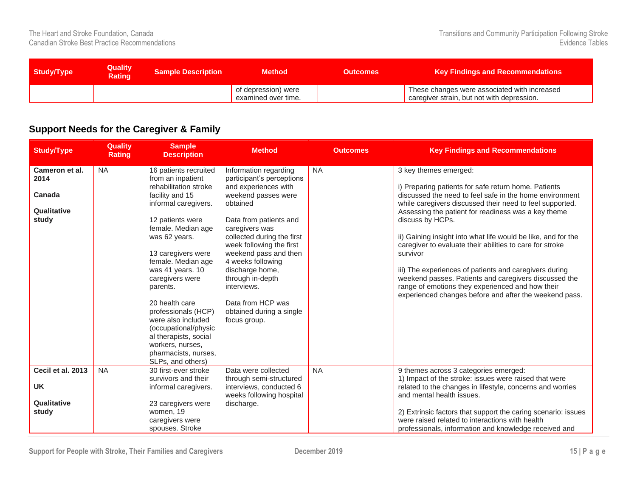| <b>Study/Type</b> | <b>Quality</b><br><b>Rating</b> | <b>Sample Description</b> | <b>Method</b>                              | <b>Outcomes</b> | Key Findings and Recommendations                                                           |
|-------------------|---------------------------------|---------------------------|--------------------------------------------|-----------------|--------------------------------------------------------------------------------------------|
|                   |                                 |                           | of depression) were<br>examined over time. |                 | These changes were associated with increased<br>caregiver strain, but not with depression. |

#### <span id="page-15-0"></span>**Support Needs for the Caregiver & Family**

| <b>Study/Type</b>                                        | <b>Quality</b><br><b>Rating</b> | <b>Sample</b><br><b>Description</b>                                                                                                                                                                                                                                                                                                                                                                                                                       | <b>Method</b>                                                                                                                                                                                                                                                                                                                                                                            | <b>Outcomes</b> | <b>Key Findings and Recommendations</b>                                                                                                                                                                                                                                                                                                                                                                                                                                                                                                                                                                                                                   |
|----------------------------------------------------------|---------------------------------|-----------------------------------------------------------------------------------------------------------------------------------------------------------------------------------------------------------------------------------------------------------------------------------------------------------------------------------------------------------------------------------------------------------------------------------------------------------|------------------------------------------------------------------------------------------------------------------------------------------------------------------------------------------------------------------------------------------------------------------------------------------------------------------------------------------------------------------------------------------|-----------------|-----------------------------------------------------------------------------------------------------------------------------------------------------------------------------------------------------------------------------------------------------------------------------------------------------------------------------------------------------------------------------------------------------------------------------------------------------------------------------------------------------------------------------------------------------------------------------------------------------------------------------------------------------------|
| Cameron et al.<br>2014<br>Canada<br>Qualitative<br>study | <b>NA</b>                       | 16 patients recruited<br>from an inpatient<br>rehabilitation stroke<br>facility and 15<br>informal caregivers.<br>12 patients were<br>female. Median age<br>was 62 years.<br>13 caregivers were<br>female. Median age<br>was 41 years. 10<br>caregivers were<br>parents.<br>20 health care<br>professionals (HCP)<br>were also included<br>(occupational/physic<br>al therapists, social<br>workers, nurses,<br>pharmacists, nurses,<br>SLPs, and others) | Information regarding<br>participant's perceptions<br>and experiences with<br>weekend passes were<br>obtained<br>Data from patients and<br>caregivers was<br>collected during the first<br>week following the first<br>weekend pass and then<br>4 weeks following<br>discharge home,<br>through in-depth<br>interviews.<br>Data from HCP was<br>obtained during a single<br>focus group. | <b>NA</b>       | 3 key themes emerged:<br>i) Preparing patients for safe return home. Patients<br>discussed the need to feel safe in the home environment<br>while caregivers discussed their need to feel supported.<br>Assessing the patient for readiness was a key theme<br>discuss by HCPs.<br>ii) Gaining insight into what life would be like, and for the<br>caregiver to evaluate their abilities to care for stroke<br>survivor<br>iii) The experiences of patients and caregivers during<br>weekend passes. Patients and caregivers discussed the<br>range of emotions they experienced and how their<br>experienced changes before and after the weekend pass. |
| Cecil et al. 2013<br><b>UK</b><br>Qualitative<br>study   | <b>NA</b>                       | 30 first-ever stroke<br>survivors and their<br>informal caregivers.<br>23 caregivers were<br>women, 19<br>caregivers were<br>spouses. Stroke                                                                                                                                                                                                                                                                                                              | Data were collected<br>through semi-structured<br>interviews, conducted 6<br>weeks following hospital<br>discharge.                                                                                                                                                                                                                                                                      | <b>NA</b>       | 9 themes across 3 categories emerged:<br>1) Impact of the stroke: issues were raised that were<br>related to the changes in lifestyle, concerns and worries<br>and mental health issues.<br>2) Extrinsic factors that support the caring scenario: issues<br>were raised related to interactions with health<br>professionals, information and knowledge received and                                                                                                                                                                                                                                                                                     |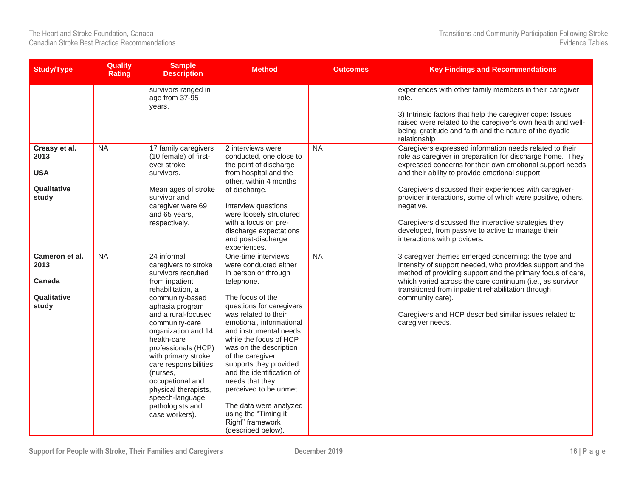| <b>Study/Type</b>                                           | <b>Quality</b><br><b>Rating</b> | <b>Sample</b><br><b>Description</b>                                                                                                                                                                                                                                                                                                                                                                            | <b>Method</b>                                                                                                                                                                                                                                                                                                                                                                                                                                                                             | <b>Outcomes</b> | <b>Key Findings and Recommendations</b>                                                                                                                                                                                                                                                                                                                                                                                                                                                                                |
|-------------------------------------------------------------|---------------------------------|----------------------------------------------------------------------------------------------------------------------------------------------------------------------------------------------------------------------------------------------------------------------------------------------------------------------------------------------------------------------------------------------------------------|-------------------------------------------------------------------------------------------------------------------------------------------------------------------------------------------------------------------------------------------------------------------------------------------------------------------------------------------------------------------------------------------------------------------------------------------------------------------------------------------|-----------------|------------------------------------------------------------------------------------------------------------------------------------------------------------------------------------------------------------------------------------------------------------------------------------------------------------------------------------------------------------------------------------------------------------------------------------------------------------------------------------------------------------------------|
|                                                             |                                 | survivors ranged in<br>age from 37-95<br>years.                                                                                                                                                                                                                                                                                                                                                                |                                                                                                                                                                                                                                                                                                                                                                                                                                                                                           |                 | experiences with other family members in their caregiver<br>role.<br>3) Intrinsic factors that help the caregiver cope: Issues<br>raised were related to the caregiver's own health and well-<br>being, gratitude and faith and the nature of the dyadic<br>relationship                                                                                                                                                                                                                                               |
| Creasy et al.<br>2013<br><b>USA</b><br>Qualitative<br>study | <b>NA</b>                       | 17 family caregivers<br>(10 female) of first-<br>ever stroke<br>survivors.<br>Mean ages of stroke<br>survivor and<br>caregiver were 69<br>and 65 years,<br>respectively.                                                                                                                                                                                                                                       | 2 interviews were<br>conducted, one close to<br>the point of discharge<br>from hospital and the<br>other, within 4 months<br>of discharge.<br>Interview questions<br>were loosely structured<br>with a focus on pre-<br>discharge expectations<br>and post-discharge<br>experiences.                                                                                                                                                                                                      | <b>NA</b>       | Caregivers expressed information needs related to their<br>role as caregiver in preparation for discharge home. They<br>expressed concerns for their own emotional support needs<br>and their ability to provide emotional support.<br>Caregivers discussed their experiences with caregiver-<br>provider interactions, some of which were positive, others,<br>negative.<br>Caregivers discussed the interactive strategies they<br>developed, from passive to active to manage their<br>interactions with providers. |
| Cameron et al.<br>2013<br>Canada<br>Qualitative<br>study    | <b>NA</b>                       | 24 informal<br>caregivers to stroke<br>survivors recruited<br>from inpatient<br>rehabilitation, a<br>community-based<br>aphasia program<br>and a rural-focused<br>community-care<br>organization and 14<br>health-care<br>professionals (HCP)<br>with primary stroke<br>care responsibilities<br>(nurses,<br>occupational and<br>physical therapists,<br>speech-language<br>pathologists and<br>case workers). | One-time interviews<br>were conducted either<br>in person or through<br>telephone.<br>The focus of the<br>questions for caregivers<br>was related to their<br>emotional, informational<br>and instrumental needs,<br>while the focus of HCP<br>was on the description<br>of the caregiver<br>supports they provided<br>and the identification of<br>needs that they<br>perceived to be unmet.<br>The data were analyzed<br>using the "Timing it<br>Right" framework<br>(described below). | <b>NA</b>       | 3 caregiver themes emerged concerning: the type and<br>intensity of support needed, who provides support and the<br>method of providing support and the primary focus of care,<br>which varied across the care continuum (i.e., as survivor<br>transitioned from inpatient rehabilitation through<br>community care).<br>Caregivers and HCP described similar issues related to<br>caregiver needs.                                                                                                                    |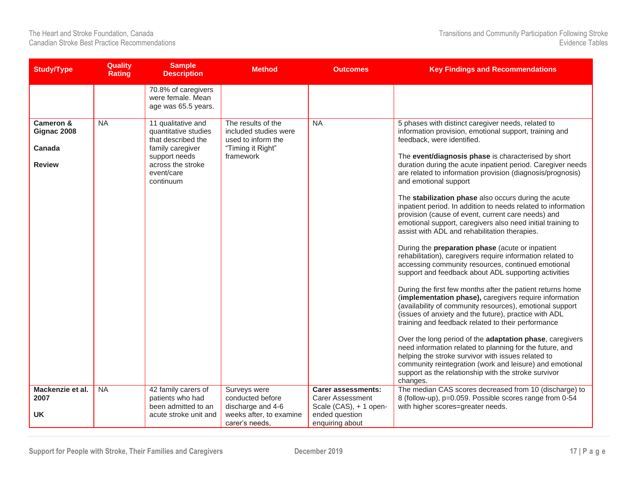| <b>Study/Type</b>                                   | <b>Quality</b><br><b>Rating</b> | <b>Sample</b><br><b>Description</b>                                                                                                                   | <b>Method</b>                                                                                       | <b>Outcomes</b>                                                                                                     | <b>Key Findings and Recommendations</b>                                                                                                                                                                                                                                                                                                                                                                                                                                                                                                                                                                                                                                                                                                                                                                                                                                                                                                                                                                                                                                                                                                                                                                                                                                                                                                                                                                                                                                                                 |
|-----------------------------------------------------|---------------------------------|-------------------------------------------------------------------------------------------------------------------------------------------------------|-----------------------------------------------------------------------------------------------------|---------------------------------------------------------------------------------------------------------------------|---------------------------------------------------------------------------------------------------------------------------------------------------------------------------------------------------------------------------------------------------------------------------------------------------------------------------------------------------------------------------------------------------------------------------------------------------------------------------------------------------------------------------------------------------------------------------------------------------------------------------------------------------------------------------------------------------------------------------------------------------------------------------------------------------------------------------------------------------------------------------------------------------------------------------------------------------------------------------------------------------------------------------------------------------------------------------------------------------------------------------------------------------------------------------------------------------------------------------------------------------------------------------------------------------------------------------------------------------------------------------------------------------------------------------------------------------------------------------------------------------------|
|                                                     |                                 | 70.8% of caregivers<br>were female. Mean<br>age was 65.5 years.                                                                                       |                                                                                                     |                                                                                                                     |                                                                                                                                                                                                                                                                                                                                                                                                                                                                                                                                                                                                                                                                                                                                                                                                                                                                                                                                                                                                                                                                                                                                                                                                                                                                                                                                                                                                                                                                                                         |
| Cameron &<br>Gignac 2008<br>Canada<br><b>Review</b> | <b>NA</b>                       | 11 qualitative and<br>quantitative studies<br>that described the<br>family caregiver<br>support needs<br>across the stroke<br>event/care<br>continuum | The results of the<br>included studies were<br>used to inform the<br>"Timing it Right"<br>framework | <b>NA</b>                                                                                                           | 5 phases with distinct caregiver needs, related to<br>information provision, emotional support, training and<br>feedback, were identified.<br>The event/diagnosis phase is characterised by short<br>duration during the acute inpatient period. Caregiver needs<br>are related to information provision (diagnosis/prognosis)<br>and emotional support<br>The stabilization phase also occurs during the acute<br>inpatient period. In addition to needs related to information<br>provision (cause of event, current care needs) and<br>emotional support, caregivers also need initial training to<br>assist with ADL and rehabilitation therapies.<br>During the preparation phase (acute or inpatient<br>rehabilitation), caregivers require information related to<br>accessing community resources, continued emotional<br>support and feedback about ADL supporting activities<br>During the first few months after the patient returns home<br>(implementation phase), caregivers require information<br>(availability of community resources), emotional support<br>(issues of anxiety and the future), practice with ADL<br>training and feedback related to their performance<br>Over the long period of the adaptation phase, caregivers<br>need information related to planning for the future, and<br>helping the stroke survivor with issues related to<br>community reintegration (work and leisure) and emotional<br>support as the relationship with the stroke survivor<br>changes. |
| Mackenzie et al.<br>2007<br><b>UK</b>               | $N_A$                           | 42 family carers of<br>patients who had<br>been admitted to an<br>acute stroke unit and                                                               | Surveys were<br>conducted before<br>discharge and 4-6<br>weeks after, to examine<br>carer's needs.  | <b>Carer assessments:</b><br><b>Carer Assessment</b><br>Scale (CAS), + 1 open-<br>ended question<br>enquiring about | The median CAS scores decreased from 10 (discharge) to<br>8 (follow-up), p=0.059. Possible scores range from 0-54<br>with higher scores=greater needs.                                                                                                                                                                                                                                                                                                                                                                                                                                                                                                                                                                                                                                                                                                                                                                                                                                                                                                                                                                                                                                                                                                                                                                                                                                                                                                                                                  |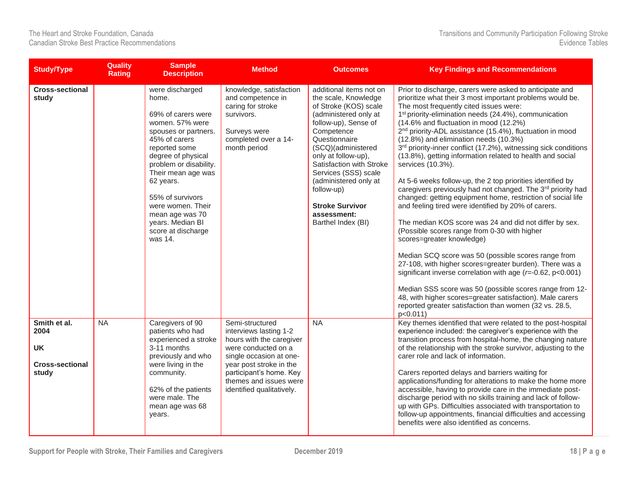| <b>Study/Type</b>                                                    | <b>Quality</b><br><b>Rating</b> | <b>Sample</b><br><b>Description</b>                                                                                                                                                                                                                                                                                             | <b>Method</b>                                                                                                                                                                                                                        | <b>Outcomes</b>                                                                                                                                                                                                                                                                                                                                                 | <b>Key Findings and Recommendations</b>                                                                                                                                                                                                                                                                                                                                                                                                                                                                                                                                                                                                                                                                                                                                                                                                                                                                                                                                                                                                                                                                                                                                                                                                                                                                                                          |
|----------------------------------------------------------------------|---------------------------------|---------------------------------------------------------------------------------------------------------------------------------------------------------------------------------------------------------------------------------------------------------------------------------------------------------------------------------|--------------------------------------------------------------------------------------------------------------------------------------------------------------------------------------------------------------------------------------|-----------------------------------------------------------------------------------------------------------------------------------------------------------------------------------------------------------------------------------------------------------------------------------------------------------------------------------------------------------------|--------------------------------------------------------------------------------------------------------------------------------------------------------------------------------------------------------------------------------------------------------------------------------------------------------------------------------------------------------------------------------------------------------------------------------------------------------------------------------------------------------------------------------------------------------------------------------------------------------------------------------------------------------------------------------------------------------------------------------------------------------------------------------------------------------------------------------------------------------------------------------------------------------------------------------------------------------------------------------------------------------------------------------------------------------------------------------------------------------------------------------------------------------------------------------------------------------------------------------------------------------------------------------------------------------------------------------------------------|
| <b>Cross-sectional</b><br>study                                      |                                 | were discharged<br>home.<br>69% of carers were<br>women. 57% were<br>spouses or partners.<br>45% of carers<br>reported some<br>degree of physical<br>problem or disability.<br>Their mean age was<br>62 years.<br>55% of survivors<br>were women. Their<br>mean age was 70<br>years. Median BI<br>score at discharge<br>was 14. | knowledge, satisfaction<br>and competence in<br>caring for stroke<br>survivors.<br>Surveys were<br>completed over a 14-<br>month period                                                                                              | additional items not on<br>the scale, Knowledge<br>of Stroke (KOS) scale<br>(administered only at<br>follow-up), Sense of<br>Competence<br>Questionnaire<br>(SCQ)(administered<br>only at follow-up),<br>Satisfaction with Stroke<br>Services (SSS) scale<br>(administered only at<br>follow-up)<br><b>Stroke Survivor</b><br>assessment:<br>Barthel Index (BI) | Prior to discharge, carers were asked to anticipate and<br>prioritize what their 3 most important problems would be.<br>The most frequently cited issues were:<br>1 <sup>st</sup> priority-elimination needs (24.4%), communication<br>(14.6% and fluctuation in mood (12.2%)<br>2 <sup>nd</sup> priority-ADL assistance (15.4%), fluctuation in mood<br>(12.8%) and elimination needs (10.3%)<br>3 <sup>rd</sup> priority-inner conflict (17.2%), witnessing sick conditions<br>(13.8%), getting information related to health and social<br>services (10.3%).<br>At 5-6 weeks follow-up, the 2 top priorities identified by<br>caregivers previously had not changed. The 3rd priority had<br>changed: getting equipment home, restriction of social life<br>and feeling tired were identified by 20% of carers.<br>The median KOS score was 24 and did not differ by sex.<br>(Possible scores range from 0-30 with higher<br>scores=greater knowledge)<br>Median SCQ score was 50 (possible scores range from<br>27-108, with higher scores=greater burden). There was a<br>significant inverse correlation with age ( $r=-0.62$ , $p<0.001$ )<br>Median SSS score was 50 (possible scores range from 12-<br>48, with higher scores=greater satisfaction). Male carers<br>reported greater satisfaction than women (32 vs. 28.5,<br>p < 0.011 |
| Smith et al.<br>2004<br><b>UK</b><br><b>Cross-sectional</b><br>study | <b>NA</b>                       | Caregivers of 90<br>patients who had<br>experienced a stroke<br>3-11 months<br>previously and who<br>were living in the<br>community.<br>62% of the patients<br>were male. The<br>mean age was 68<br>years.                                                                                                                     | Semi-structured<br>interviews lasting 1-2<br>hours with the caregiver<br>were conducted on a<br>single occasion at one-<br>year post stroke in the<br>participant's home. Key<br>themes and issues were<br>identified qualitatively. | <b>NA</b>                                                                                                                                                                                                                                                                                                                                                       | Key themes identified that were related to the post-hospital<br>experience included: the caregiver's experience with the<br>transition process from hospital-home, the changing nature<br>of the relationship with the stroke survivor, adjusting to the<br>carer role and lack of information.<br>Carers reported delays and barriers waiting for<br>applications/funding for alterations to make the home more<br>accessible, having to provide care in the immediate post-<br>discharge period with no skills training and lack of follow-<br>up with GPs. Difficulties associated with transportation to<br>follow-up appointments, financial difficulties and accessing<br>benefits were also identified as concerns.                                                                                                                                                                                                                                                                                                                                                                                                                                                                                                                                                                                                                       |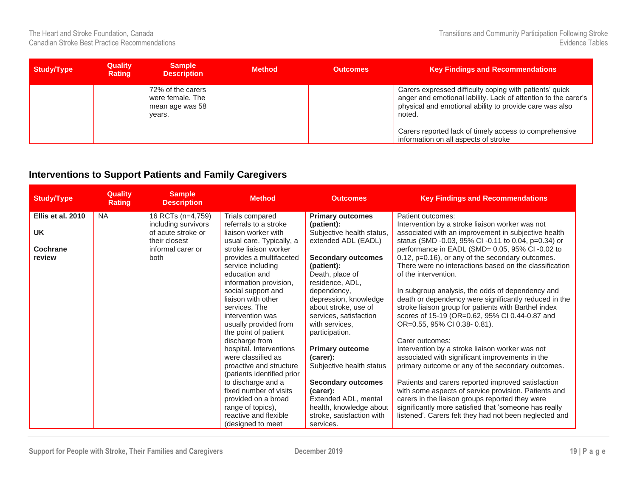| <b>Study/Type</b> | <b>Quality</b><br><b>Rating</b> | <b>Sample</b><br><b>Description</b>                                | <b>Method</b> | <b>Outcomes</b> | <b>Key Findings and Recommendations</b>                                                                                                                                                        |
|-------------------|---------------------------------|--------------------------------------------------------------------|---------------|-----------------|------------------------------------------------------------------------------------------------------------------------------------------------------------------------------------------------|
|                   |                                 | 72% of the carers<br>were female. The<br>mean age was 58<br>years. |               |                 | Carers expressed difficulty coping with patients' quick<br>anger and emotional lability. Lack of attention to the carer's<br>physical and emotional ability to provide care was also<br>noted. |
|                   |                                 |                                                                    |               |                 | Carers reported lack of timely access to comprehensive<br>information on all aspects of stroke                                                                                                 |

#### <span id="page-19-0"></span>**Interventions to Support Patients and Family Caregivers**

| <b>Study/Type</b> | <b>Quality</b><br><b>Rating</b> | <b>Sample</b><br><b>Description</b>                        | <b>Method</b>                                                                                                                                                               | <b>Outcomes</b>                                                                                                                                      | <b>Key Findings and Recommendations</b>                                                                                                                                                                                                                                                                                  |
|-------------------|---------------------------------|------------------------------------------------------------|-----------------------------------------------------------------------------------------------------------------------------------------------------------------------------|------------------------------------------------------------------------------------------------------------------------------------------------------|--------------------------------------------------------------------------------------------------------------------------------------------------------------------------------------------------------------------------------------------------------------------------------------------------------------------------|
| Ellis et al. 2010 | <b>NA</b>                       | 16 RCTs (n=4,759)                                          | Trials compared<br>referrals to a stroke                                                                                                                                    | <b>Primary outcomes</b>                                                                                                                              | Patient outcomes:                                                                                                                                                                                                                                                                                                        |
| <b>UK</b>         |                                 | including survivors<br>of acute stroke or<br>their closest | liaison worker with<br>usual care. Typically, a                                                                                                                             | (patient):<br>Subjective health status,<br>extended ADL (EADL)                                                                                       | Intervention by a stroke liaison worker was not<br>associated with an improvement in subjective health<br>status (SMD -0.03, 95% CI -0.11 to 0.04, p=0.34) or                                                                                                                                                            |
| Cochrane          |                                 | informal carer or                                          | stroke liaison worker                                                                                                                                                       |                                                                                                                                                      | performance in EADL (SMD= 0.05, 95% CI-0.02 to                                                                                                                                                                                                                                                                           |
| review            |                                 | both                                                       | provides a multifaceted<br>service including                                                                                                                                | <b>Secondary outcomes</b><br>(patient):                                                                                                              | 0.12, p=0.16), or any of the secondary outcomes.<br>There were no interactions based on the classification                                                                                                                                                                                                               |
|                   |                                 |                                                            | education and<br>information provision,                                                                                                                                     | Death, place of<br>residence, ADL,                                                                                                                   | of the intervention.                                                                                                                                                                                                                                                                                                     |
|                   |                                 |                                                            | social support and<br>liaison with other<br>services. The<br>intervention was<br>usually provided from<br>the point of patient<br>discharge from<br>hospital. Interventions | dependency,<br>depression, knowledge<br>about stroke, use of<br>services, satisfaction<br>with services.<br>participation.<br><b>Primary outcome</b> | In subgroup analysis, the odds of dependency and<br>death or dependency were significantly reduced in the<br>stroke liaison group for patients with Barthel index<br>scores of 15-19 (OR=0.62, 95% CI 0.44-0.87 and<br>OR=0.55, 95% CI 0.38-0.81).<br>Carer outcomes:<br>Intervention by a stroke liaison worker was not |
|                   |                                 |                                                            | were classified as<br>proactive and structure<br>(patients identified prior                                                                                                 | (carer):<br>Subjective health status                                                                                                                 | associated with significant improvements in the<br>primary outcome or any of the secondary outcomes.                                                                                                                                                                                                                     |
|                   |                                 |                                                            | to discharge and a<br>fixed number of visits<br>provided on a broad                                                                                                         | <b>Secondary outcomes</b><br>(carer):<br>Extended ADL, mental                                                                                        | Patients and carers reported improved satisfaction<br>with some aspects of service provision. Patients and<br>carers in the liaison groups reported they were                                                                                                                                                            |
|                   |                                 |                                                            | range of topics),<br>reactive and flexible<br>(designed to meet                                                                                                             | health, knowledge about<br>stroke, satisfaction with<br>services.                                                                                    | significantly more satisfied that 'someone has really<br>listened'. Carers felt they had not been neglected and                                                                                                                                                                                                          |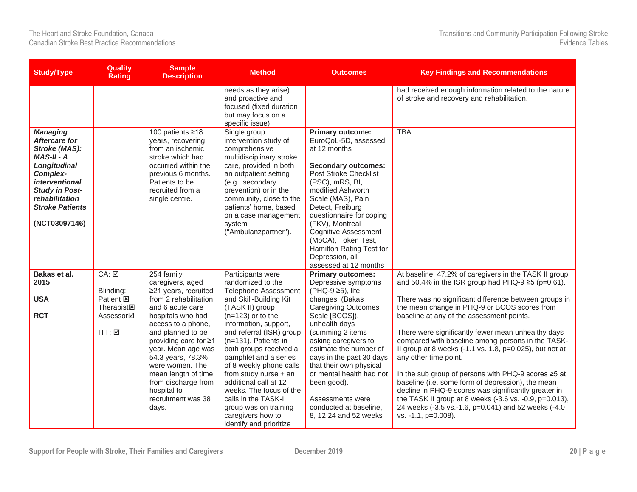| <b>Study/Type</b>                                                                                                                                                                                                   | <b>Quality</b><br><b>Rating</b>                                              | <b>Sample</b><br><b>Description</b>                                                                                                                                                                                        | <b>Method</b>                                                                                                                                                                                                                                                                                                                         | <b>Outcomes</b>                                                                                                                                                                                                                                                                                                                                                                             | <b>Key Findings and Recommendations</b>                                                                                                                                                                                                                                                                                                                                                                                                                                                                 |
|---------------------------------------------------------------------------------------------------------------------------------------------------------------------------------------------------------------------|------------------------------------------------------------------------------|----------------------------------------------------------------------------------------------------------------------------------------------------------------------------------------------------------------------------|---------------------------------------------------------------------------------------------------------------------------------------------------------------------------------------------------------------------------------------------------------------------------------------------------------------------------------------|---------------------------------------------------------------------------------------------------------------------------------------------------------------------------------------------------------------------------------------------------------------------------------------------------------------------------------------------------------------------------------------------|---------------------------------------------------------------------------------------------------------------------------------------------------------------------------------------------------------------------------------------------------------------------------------------------------------------------------------------------------------------------------------------------------------------------------------------------------------------------------------------------------------|
|                                                                                                                                                                                                                     |                                                                              |                                                                                                                                                                                                                            | needs as they arise)<br>and proactive and<br>focused (fixed duration<br>but may focus on a<br>specific issue)                                                                                                                                                                                                                         |                                                                                                                                                                                                                                                                                                                                                                                             | had received enough information related to the nature<br>of stroke and recovery and rehabilitation.                                                                                                                                                                                                                                                                                                                                                                                                     |
| <b>Managing</b><br><b>Aftercare for</b><br>Stroke (MAS):<br>$MAS-II - A$<br>Longitudinal<br>Complex-<br><i>interventional</i><br><b>Study in Post-</b><br>rehabilitation<br><b>Stroke Patients</b><br>(NCT03097146) |                                                                              | 100 patients ≥18<br>years, recovering<br>from an ischemic<br>stroke which had<br>occurred within the<br>previous 6 months.<br>Patients to be<br>recruited from a<br>single centre.                                         | Single group<br>intervention study of<br>comprehensive<br>multidisciplinary stroke<br>care, provided in both<br>an outpatient setting<br>(e.g., secondary<br>prevention) or in the<br>community, close to the<br>patients' home, based<br>on a case management<br>system<br>("Ambulanzpartner").                                      | <b>Primary outcome:</b><br>EuroQoL-5D, assessed<br>at 12 months<br><b>Secondary outcomes:</b><br><b>Post Stroke Checklist</b><br>(PSC), mRS, BI,<br>modified Ashworth<br>Scale (MAS), Pain<br>Detect, Freiburg<br>questionnaire for coping<br>(FKV), Montreal<br><b>Cognitive Assessment</b><br>(MoCA), Token Test,<br>Hamilton Rating Test for<br>Depression, all<br>assessed at 12 months | <b>TBA</b>                                                                                                                                                                                                                                                                                                                                                                                                                                                                                              |
| Bakas et al.<br>2015                                                                                                                                                                                                | CA: ☑<br>Blinding:                                                           | 254 family<br>caregivers, aged<br>≥21 years, recruited                                                                                                                                                                     | Participants were<br>randomized to the<br><b>Telephone Assessment</b>                                                                                                                                                                                                                                                                 | <b>Primary outcomes:</b><br>Depressive symptoms<br>(PHQ-9 ≥5), life                                                                                                                                                                                                                                                                                                                         | At baseline, 47.2% of caregivers in the TASK II group<br>and 50.4% in the ISR group had PHQ-9 $\geq$ 5 (p=0.61).                                                                                                                                                                                                                                                                                                                                                                                        |
| <b>USA</b><br><b>RCT</b>                                                                                                                                                                                            | Patient <b>E</b><br>Therapist <sub><math>\boxtimes</math></sub><br>Assessor⊠ | from 2 rehabilitation<br>and 6 acute care<br>hospitals who had                                                                                                                                                             | and Skill-Building Kit<br>(TASK II) group<br>$(n=123)$ or to the                                                                                                                                                                                                                                                                      | changes, (Bakas<br><b>Caregiving Outcomes</b><br>Scale [BCOS]),                                                                                                                                                                                                                                                                                                                             | There was no significant difference between groups in<br>the mean change in PHQ-9 or BCOS scores from<br>baseline at any of the assessment points.                                                                                                                                                                                                                                                                                                                                                      |
|                                                                                                                                                                                                                     | ITT: ☑                                                                       | access to a phone,<br>and planned to be<br>providing care for ≥1<br>year. Mean age was<br>54.3 years, 78.3%<br>were women. The<br>mean length of time<br>from discharge from<br>hospital to<br>recruitment was 38<br>days. | information, support,<br>and referral (ISR) group<br>(n=131). Patients in<br>both groups received a<br>pamphlet and a series<br>of 8 weekly phone calls<br>from study nurse + an<br>additional call at 12<br>weeks. The focus of the<br>calls in the TASK-II<br>group was on training<br>caregivers how to<br>identify and prioritize | unhealth days<br>(summing 2 items<br>asking caregivers to<br>estimate the number of<br>days in the past 30 days<br>that their own physical<br>or mental health had not<br>been good).<br>Assessments were<br>conducted at baseline,<br>8, 12 24 and 52 weeks                                                                                                                                | There were significantly fewer mean unhealthy days<br>compared with baseline among persons in the TASK-<br>Il group at 8 weeks (-1.1 vs. 1.8, p=0.025), but not at<br>any other time point.<br>In the sub group of persons with PHQ-9 scores ≥5 at<br>baseline (i.e. some form of depression), the mean<br>decline in PHQ-9 scores was significantly greater in<br>the TASK II group at 8 weeks (-3.6 vs. -0.9, p=0.013),<br>24 weeks (-3.5 vs.-1.6, p=0.041) and 52 weeks (-4.0<br>vs. -1.1, p=0.008). |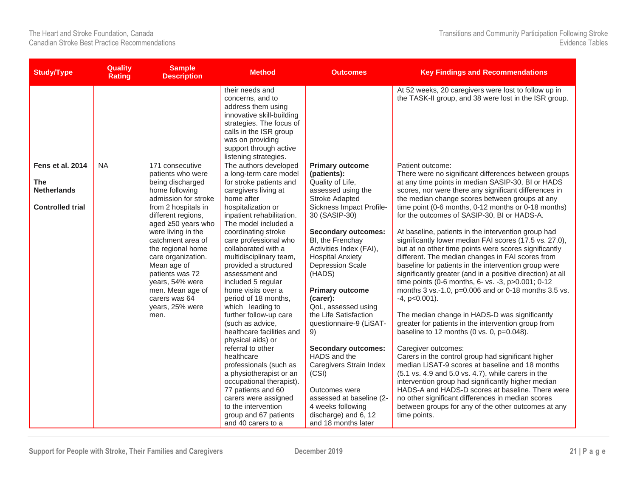| <b>Study/Type</b>       | <b>Quality</b><br><b>Rating</b> | <b>Sample</b><br><b>Description</b>                             | <b>Method</b>                                                                                                                                                                                                       | <b>Outcomes</b>                                    | <b>Key Findings and Recommendations</b>                                                                         |
|-------------------------|---------------------------------|-----------------------------------------------------------------|---------------------------------------------------------------------------------------------------------------------------------------------------------------------------------------------------------------------|----------------------------------------------------|-----------------------------------------------------------------------------------------------------------------|
|                         |                                 |                                                                 | their needs and<br>concerns, and to<br>address them using<br>innovative skill-building<br>strategies. The focus of<br>calls in the ISR group<br>was on providing<br>support through active<br>listening strategies. |                                                    | At 52 weeks, 20 caregivers were lost to follow up in<br>the TASK-II group, and 38 were lost in the ISR group.   |
| Fens et al. 2014        | <b>NA</b>                       | 171 consecutive<br>patients who were                            | The authors developed<br>a long-term care model                                                                                                                                                                     | <b>Primary outcome</b><br>(patients):              | Patient outcome:<br>There were no significant differences between groups                                        |
| <b>The</b>              |                                 | being discharged                                                | for stroke patients and                                                                                                                                                                                             | Quality of Life,                                   | at any time points in median SASIP-30, BI or HADS                                                               |
| <b>Netherlands</b>      |                                 | home following<br>admission for stroke                          | caregivers living at<br>home after                                                                                                                                                                                  | assessed using the<br><b>Stroke Adapted</b>        | scores, nor were there any significant differences in<br>the median change scores between groups at any         |
| <b>Controlled trial</b> |                                 | from 2 hospitals in<br>different regions,<br>aged ≥50 years who | hospitalization or<br>inpatient rehabilitation.<br>The model included a                                                                                                                                             | Sickness Impact Profile-<br>30 (SASIP-30)          | time point (0-6 months, 0-12 months or 0-18 months)<br>for the outcomes of SASIP-30, BI or HADS-A.              |
|                         |                                 | were living in the                                              | coordinating stroke                                                                                                                                                                                                 | <b>Secondary outcomes:</b>                         | At baseline, patients in the intervention group had                                                             |
|                         |                                 | catchment area of<br>the regional home                          | care professional who<br>collaborated with a                                                                                                                                                                        | BI, the Frenchay<br>Activities Index (FAI),        | significantly lower median FAI scores (17.5 vs. 27.0),<br>but at no other time points were scores significantly |
|                         |                                 | care organization.<br>Mean age of                               | multidisciplinary team,<br>provided a structured                                                                                                                                                                    | <b>Hospital Anxiety</b><br><b>Depression Scale</b> | different. The median changes in FAI scores from<br>baseline for patients in the intervention group were        |
|                         |                                 | patients was 72<br>years, 54% were                              | assessment and<br>included 5 regular                                                                                                                                                                                | (HADS)                                             | significantly greater (and in a positive direction) at all<br>time points (0-6 months, 6- vs. -3, p>0.001; 0-12 |
|                         |                                 | men. Mean age of<br>carers was 64                               | home visits over a<br>period of 18 months,                                                                                                                                                                          | <b>Primary outcome</b><br>(carer):                 | months 3 vs.-1.0, p=0.006 and or 0-18 months 3.5 vs.<br>$-4$ , $p<0.001$ ).                                     |
|                         |                                 | years, 25% were                                                 | which leading to                                                                                                                                                                                                    | QoL, assessed using                                |                                                                                                                 |
|                         |                                 | men.                                                            | further follow-up care<br>(such as advice,                                                                                                                                                                          | the Life Satisfaction<br>questionnaire-9 (LiSAT-   | The median change in HADS-D was significantly<br>greater for patients in the intervention group from            |
|                         |                                 |                                                                 | healthcare facilities and<br>physical aids) or                                                                                                                                                                      | 9)                                                 | baseline to 12 months (0 vs. 0, $p=0.048$ ).                                                                    |
|                         |                                 |                                                                 | referral to other                                                                                                                                                                                                   | <b>Secondary outcomes:</b>                         | Caregiver outcomes:                                                                                             |
|                         |                                 |                                                                 | healthcare<br>professionals (such as                                                                                                                                                                                | HADS and the<br>Caregivers Strain Index            | Carers in the control group had significant higher<br>median LiSAT-9 scores at baseline and 18 months           |
|                         |                                 |                                                                 | a physiotherapist or an                                                                                                                                                                                             | (CSI)                                              | (5.1 vs. 4.9 and 5.0 vs. 4.7), while carers in the                                                              |
|                         |                                 |                                                                 | occupational therapist).<br>77 patients and 60                                                                                                                                                                      | Outcomes were                                      | intervention group had significantly higher median<br>HADS-A and HADS-D scores at baseline. There were          |
|                         |                                 |                                                                 | carers were assigned                                                                                                                                                                                                | assessed at baseline (2-                           | no other significant differences in median scores                                                               |
|                         |                                 |                                                                 | to the intervention<br>group and 67 patients                                                                                                                                                                        | 4 weeks following<br>discharge) and 6, 12          | between groups for any of the other outcomes at any<br>time points.                                             |
|                         |                                 |                                                                 | and 40 carers to a                                                                                                                                                                                                  | and 18 months later                                |                                                                                                                 |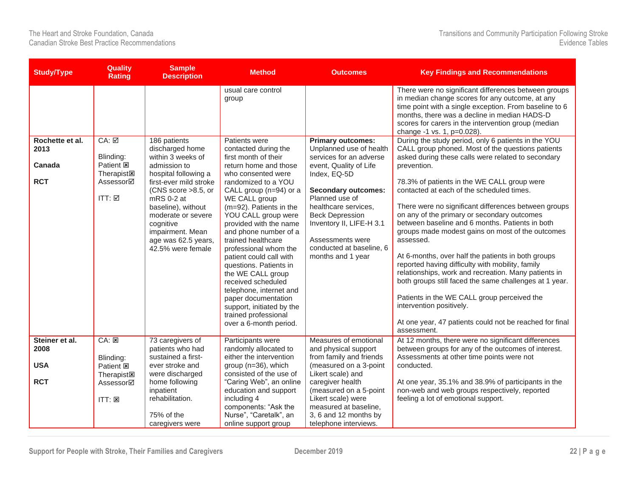| <b>Study/Type</b>                 | <b>Quality</b><br><b>Rating</b>                                              | <b>Sample</b><br><b>Description</b>                                                                                                                                                    | <b>Method</b>                                                                                                                                                                                                                                                                                                      | <b>Outcomes</b>                                                                                                                                                                                 | <b>Key Findings and Recommendations</b>                                                                                                                                                                                                                                                                                                                                                                                                                                                                                                         |
|-----------------------------------|------------------------------------------------------------------------------|----------------------------------------------------------------------------------------------------------------------------------------------------------------------------------------|--------------------------------------------------------------------------------------------------------------------------------------------------------------------------------------------------------------------------------------------------------------------------------------------------------------------|-------------------------------------------------------------------------------------------------------------------------------------------------------------------------------------------------|-------------------------------------------------------------------------------------------------------------------------------------------------------------------------------------------------------------------------------------------------------------------------------------------------------------------------------------------------------------------------------------------------------------------------------------------------------------------------------------------------------------------------------------------------|
|                                   |                                                                              |                                                                                                                                                                                        | usual care control<br>group                                                                                                                                                                                                                                                                                        |                                                                                                                                                                                                 | There were no significant differences between groups<br>in median change scores for any outcome, at any<br>time point with a single exception. From baseline to 6<br>months, there was a decline in median HADS-D<br>scores for carers in the intervention group (median<br>change -1 vs. 1, p=0.028).                                                                                                                                                                                                                                          |
| Rochette et al.<br>2013<br>Canada | CA: ☑<br>Blinding:<br>Patient <b>図</b><br><b>Therapist図</b>                  | 186 patients<br>discharged home<br>within 3 weeks of<br>admission to<br>hospital following a                                                                                           | Patients were<br>contacted during the<br>first month of their<br>return home and those<br>who consented were                                                                                                                                                                                                       | <b>Primary outcomes:</b><br>Unplanned use of health<br>services for an adverse<br>event, Quality of Life<br>Index, EQ-5D                                                                        | During the study period, only 6 patients in the YOU<br>CALL group phoned. Most of the questions patients<br>asked during these calls were related to secondary<br>prevention.                                                                                                                                                                                                                                                                                                                                                                   |
| <b>RCT</b>                        | Assessor⊠<br>ITT: ☑                                                          | first-ever mild stroke<br>(CNS score >8.5, or<br>$mRS$ 0-2 at<br>baseline), without<br>moderate or severe<br>cognitive<br>impairment. Mean<br>age was 62.5 years,<br>42.5% were female | randomized to a YOU<br>CALL group (n=94) or a<br>WE CALL group<br>(m=92). Patients in the<br>YOU CALL group were<br>provided with the name<br>and phone number of a<br>trained healthcare<br>professional whom the<br>patient could call with<br>questions. Patients in<br>the WE CALL group<br>received scheduled | <b>Secondary outcomes:</b><br>Planned use of<br>healthcare services,<br><b>Beck Depression</b><br>Inventory II, LIFE-H 3.1<br>Assessments were<br>conducted at baseline, 6<br>months and 1 year | 78.3% of patients in the WE CALL group were<br>contacted at each of the scheduled times.<br>There were no significant differences between groups<br>on any of the primary or secondary outcomes<br>between baseline and 6 months. Patients in both<br>groups made modest gains on most of the outcomes<br>assessed.<br>At 6-months, over half the patients in both groups<br>reported having difficulty with mobility, family<br>relationships, work and recreation. Many patients in<br>both groups still faced the same challenges at 1 year. |
|                                   |                                                                              |                                                                                                                                                                                        | telephone, internet and<br>paper documentation<br>support, initiated by the<br>trained professional<br>over a 6-month period.                                                                                                                                                                                      |                                                                                                                                                                                                 | Patients in the WE CALL group perceived the<br>intervention positively.<br>At one year, 47 patients could not be reached for final<br>assessment.                                                                                                                                                                                                                                                                                                                                                                                               |
| Steiner et al.<br>2008            | CA: E                                                                        | 73 caregivers of<br>patients who had                                                                                                                                                   | Participants were<br>randomly allocated to                                                                                                                                                                                                                                                                         | Measures of emotional<br>and physical support                                                                                                                                                   | At 12 months, there were no significant differences<br>between groups for any of the outcomes of interest.                                                                                                                                                                                                                                                                                                                                                                                                                                      |
| <b>USA</b>                        | Blinding:<br>Patient <b>E</b><br>Therapist <sub><math>\boxtimes</math></sub> | sustained a first-<br>ever stroke and<br>were discharged                                                                                                                               | either the intervention<br>group (n=36), which<br>consisted of the use of                                                                                                                                                                                                                                          | from family and friends<br>(measured on a 3-point<br>Likert scale) and                                                                                                                          | Assessments at other time points were not<br>conducted.                                                                                                                                                                                                                                                                                                                                                                                                                                                                                         |
| <b>RCT</b>                        | Assessor⊠<br>ITT: E                                                          | home following<br>inpatient<br>rehabilitation.                                                                                                                                         | "Caring Web", an online<br>education and support<br>including 4<br>components: "Ask the                                                                                                                                                                                                                            | caregiver health<br>(measured on a 5-point<br>Likert scale) were<br>measured at baseline,                                                                                                       | At one year, 35.1% and 38.9% of participants in the<br>non-web and web groups respectively, reported<br>feeling a lot of emotional support.                                                                                                                                                                                                                                                                                                                                                                                                     |
|                                   |                                                                              | 75% of the<br>caregivers were                                                                                                                                                          | Nurse", "Caretalk", an<br>online support group                                                                                                                                                                                                                                                                     | 3, 6 and 12 months by<br>telephone interviews.                                                                                                                                                  |                                                                                                                                                                                                                                                                                                                                                                                                                                                                                                                                                 |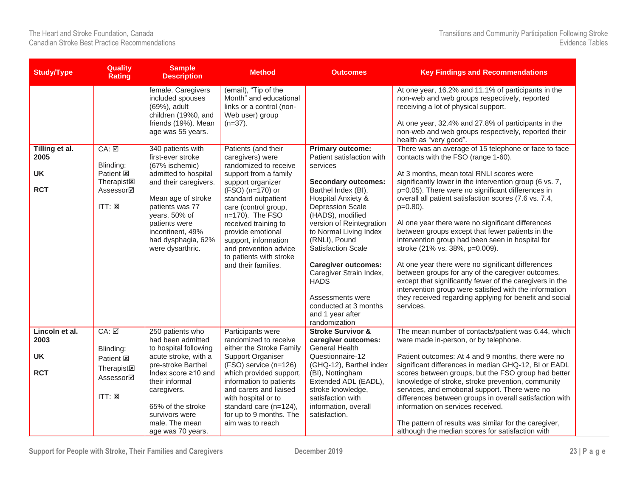| <b>Study/Type</b>                                 | <b>Quality</b><br><b>Rating</b>                                                                                        | <b>Sample</b><br><b>Description</b>                                                                                                                                                                                                                | <b>Method</b>                                                                                                                                                                                                                                                                                                                                        | <b>Outcomes</b>                                                                                                                                                                                                                                                                                                                                                                   | <b>Key Findings and Recommendations</b>                                                                                                                                                                                                                                                                                                                                                                                                                                                                                                                                                                                                                                                                                                                        |
|---------------------------------------------------|------------------------------------------------------------------------------------------------------------------------|----------------------------------------------------------------------------------------------------------------------------------------------------------------------------------------------------------------------------------------------------|------------------------------------------------------------------------------------------------------------------------------------------------------------------------------------------------------------------------------------------------------------------------------------------------------------------------------------------------------|-----------------------------------------------------------------------------------------------------------------------------------------------------------------------------------------------------------------------------------------------------------------------------------------------------------------------------------------------------------------------------------|----------------------------------------------------------------------------------------------------------------------------------------------------------------------------------------------------------------------------------------------------------------------------------------------------------------------------------------------------------------------------------------------------------------------------------------------------------------------------------------------------------------------------------------------------------------------------------------------------------------------------------------------------------------------------------------------------------------------------------------------------------------|
|                                                   |                                                                                                                        | female. Caregivers<br>included spouses<br>(69%), adult<br>children (19%0, and<br>friends (19%). Mean<br>age was 55 years.                                                                                                                          | (email), "Tip of the<br>Month" and educational<br>links or a control (non-<br>Web user) group<br>$(n=37)$ .                                                                                                                                                                                                                                          |                                                                                                                                                                                                                                                                                                                                                                                   | At one year, 16.2% and 11.1% of participants in the<br>non-web and web groups respectively, reported<br>receiving a lot of physical support.<br>At one year, 32.4% and 27.8% of participants in the<br>non-web and web groups respectively, reported their<br>health as "very good".                                                                                                                                                                                                                                                                                                                                                                                                                                                                           |
| Tilling et al.<br>2005<br><b>UK</b><br><b>RCT</b> | CA: ☑<br>Blinding:<br>Patient <b>図</b><br>Therapist <sub><math>\boxtimes</math></sub><br>Assessor⊠<br>$ITT: \boxtimes$ | 340 patients with<br>first-ever stroke<br>(67% ischemic)<br>admitted to hospital<br>and their caregivers.<br>Mean age of stroke<br>patients was 77<br>years. 50% of<br>patients were<br>incontinent, 49%<br>had dysphagia, 62%<br>were dysarthric. | Patients (and their<br>caregivers) were<br>randomized to receive<br>support from a family<br>support organizer<br>(FSO) (n=170) or<br>standard outpatient<br>care (control group,<br>n=170). The FSO<br>received training to<br>provide emotional<br>support, information<br>and prevention advice<br>to patients with stroke<br>and their families. | <b>Primary outcome:</b><br>Patient satisfaction with<br>services<br><b>Secondary outcomes:</b><br>Barthel Index (BI),<br><b>Hospital Anxiety &amp;</b><br><b>Depression Scale</b><br>(HADS), modified<br>version of Reintegration<br>to Normal Living Index<br>(RNLI), Pound<br><b>Satisfaction Scale</b><br><b>Caregiver outcomes:</b><br>Caregiver Strain Index,<br><b>HADS</b> | There was an average of 15 telephone or face to face<br>contacts with the FSO (range 1-60).<br>At 3 months, mean total RNLI scores were<br>significantly lower in the intervention group (6 vs. 7,<br>p=0.05). There were no significant differences in<br>overall all patient satisfaction scores (7.6 vs. 7.4,<br>$p=0.80$ ).<br>Al one year there were no significant differences<br>between groups except that fewer patients in the<br>intervention group had been seen in hospital for<br>stroke (21% vs. 38%, p=0.009).<br>At one year there were no significant differences<br>between groups for any of the caregiver outcomes,<br>except that significantly fewer of the caregivers in the<br>intervention group were satisfied with the information |
|                                                   |                                                                                                                        |                                                                                                                                                                                                                                                    |                                                                                                                                                                                                                                                                                                                                                      | Assessments were<br>conducted at 3 months<br>and 1 year after<br>randomization                                                                                                                                                                                                                                                                                                    | they received regarding applying for benefit and social<br>services.                                                                                                                                                                                                                                                                                                                                                                                                                                                                                                                                                                                                                                                                                           |
| Lincoln et al.<br>2003                            | CA: ☑<br>Blinding:                                                                                                     | 250 patients who<br>had been admitted<br>to hospital following                                                                                                                                                                                     | Participants were<br>randomized to receive<br>either the Stroke Family                                                                                                                                                                                                                                                                               | <b>Stroke Survivor &amp;</b><br>caregiver outcomes:<br><b>General Health</b>                                                                                                                                                                                                                                                                                                      | The mean number of contacts/patient was 6.44, which<br>were made in-person, or by telephone.                                                                                                                                                                                                                                                                                                                                                                                                                                                                                                                                                                                                                                                                   |
| <b>UK</b>                                         | Patient <b>図</b>                                                                                                       | acute stroke, with a<br>pre-stroke Barthel                                                                                                                                                                                                         | Support Organiser<br>(FSO) service (n=126)                                                                                                                                                                                                                                                                                                           | Questionnaire-12<br>(GHQ-12), Barthel index                                                                                                                                                                                                                                                                                                                                       | Patient outcomes: At 4 and 9 months, there were no<br>significant differences in median GHQ-12, BI or EADL                                                                                                                                                                                                                                                                                                                                                                                                                                                                                                                                                                                                                                                     |
| <b>RCT</b>                                        | Therapist <sub>[8]</sub><br>Assessor⊠                                                                                  | Index score ≥10 and<br>their informal<br>caregivers.                                                                                                                                                                                               | which provided support,<br>information to patients<br>and carers and liaised                                                                                                                                                                                                                                                                         | (BI), Nottingham<br>Extended ADL (EADL),<br>stroke knowledge,                                                                                                                                                                                                                                                                                                                     | scores between groups, but the FSO group had better<br>knowledge of stroke, stroke prevention, community<br>services, and emotional support. There were no                                                                                                                                                                                                                                                                                                                                                                                                                                                                                                                                                                                                     |
|                                                   | ITT: E                                                                                                                 | 65% of the stroke<br>survivors were<br>male. The mean<br>age was 70 years.                                                                                                                                                                         | with hospital or to<br>standard care (n=124),<br>for up to 9 months. The<br>aim was to reach                                                                                                                                                                                                                                                         | satisfaction with<br>information, overall<br>satisfaction.                                                                                                                                                                                                                                                                                                                        | differences between groups in overall satisfaction with<br>information on services received.<br>The pattern of results was similar for the caregiver,<br>although the median scores for satisfaction with                                                                                                                                                                                                                                                                                                                                                                                                                                                                                                                                                      |

**Support for People with Stroke, Their Families and Caregivers December 2019 23 | P a g e**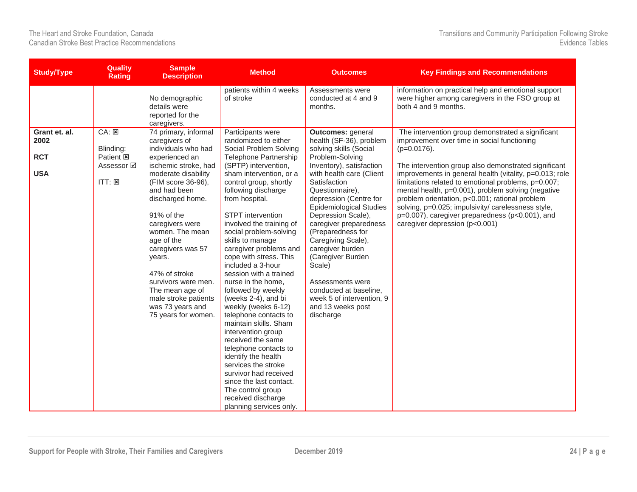| <b>Study/Type</b>                   | <b>Quality</b><br><b>Rating</b>        | <b>Sample</b><br><b>Description</b>                                                                                                                                                                                                                                                   | <b>Method</b>                                                                                                                                                                                                                                                                                                                                                                        | <b>Outcomes</b>                                                                                                                                                                                                                                                                                                                                        | <b>Key Findings and Recommendations</b>                                                                                                                                                                                                                                                                |
|-------------------------------------|----------------------------------------|---------------------------------------------------------------------------------------------------------------------------------------------------------------------------------------------------------------------------------------------------------------------------------------|--------------------------------------------------------------------------------------------------------------------------------------------------------------------------------------------------------------------------------------------------------------------------------------------------------------------------------------------------------------------------------------|--------------------------------------------------------------------------------------------------------------------------------------------------------------------------------------------------------------------------------------------------------------------------------------------------------------------------------------------------------|--------------------------------------------------------------------------------------------------------------------------------------------------------------------------------------------------------------------------------------------------------------------------------------------------------|
|                                     |                                        | No demographic<br>details were<br>reported for the<br>caregivers.                                                                                                                                                                                                                     | patients within 4 weeks<br>of stroke                                                                                                                                                                                                                                                                                                                                                 | Assessments were<br>conducted at 4 and 9<br>months.                                                                                                                                                                                                                                                                                                    | information on practical help and emotional support<br>were higher among caregivers in the FSO group at<br>both 4 and 9 months.                                                                                                                                                                        |
| Grant et. al.<br>2002<br><b>RCT</b> | CA: E<br>Blinding:<br>Patient <b>図</b> | 74 primary, informal<br>caregivers of<br>individuals who had<br>experienced an                                                                                                                                                                                                        | Participants were<br>randomized to either<br>Social Problem Solving<br>Telephone Partnership                                                                                                                                                                                                                                                                                         | Outcomes: general<br>health (SF-36), problem<br>solving skills (Social<br>Problem-Solving                                                                                                                                                                                                                                                              | The intervention group demonstrated a significant<br>improvement over time in social functioning<br>$(p=0.0176)$ .                                                                                                                                                                                     |
| <b>USA</b>                          | Assessor <b>⊠</b>                      | ischemic stroke, had<br>moderate disability                                                                                                                                                                                                                                           | (SPTP) intervention,<br>sham intervention, or a                                                                                                                                                                                                                                                                                                                                      | Inventory), satisfaction<br>with health care (Client                                                                                                                                                                                                                                                                                                   | The intervention group also demonstrated significant<br>improvements in general health (vitality, p=0.013; role                                                                                                                                                                                        |
|                                     | $ITT: \boxtimes$                       | (FIM score 36-96),<br>and had been<br>discharged home.<br>91% of the<br>caregivers were<br>women. The mean<br>age of the<br>caregivers was 57<br>years.<br>47% of stroke<br>survivors were men.<br>The mean age of<br>male stroke patients<br>was 73 years and<br>75 years for women. | control group, shortly<br>following discharge<br>from hospital.<br>STPT intervention<br>involved the training of<br>social problem-solving<br>skills to manage<br>caregiver problems and<br>cope with stress. This<br>included a 3-hour<br>session with a trained<br>nurse in the home,<br>followed by weekly<br>(weeks 2-4), and bi<br>weekly (weeks 6-12)<br>telephone contacts to | Satisfaction<br>Questionnaire).<br>depression (Centre for<br><b>Epidemiological Studies</b><br>Depression Scale),<br>caregiver preparedness<br>(Preparedness for<br>Caregiving Scale),<br>caregiver burden<br>(Caregiver Burden<br>Scale)<br>Assessments were<br>conducted at baseline,<br>week 5 of intervention, 9<br>and 13 weeks post<br>discharge | limitations related to emotional problems, p=0.007;<br>mental health, p=0.001), problem solving (negative<br>problem orientation, p<0.001; rational problem<br>solving, p=0.025; impulsivity/ carelessness style,<br>p=0.007), caregiver preparedness (p<0.001), and<br>caregiver depression (p<0.001) |
|                                     |                                        |                                                                                                                                                                                                                                                                                       | maintain skills. Sham<br>intervention group<br>received the same<br>telephone contacts to<br>identify the health<br>services the stroke<br>survivor had received<br>since the last contact.<br>The control group<br>received discharge<br>planning services only.                                                                                                                    |                                                                                                                                                                                                                                                                                                                                                        |                                                                                                                                                                                                                                                                                                        |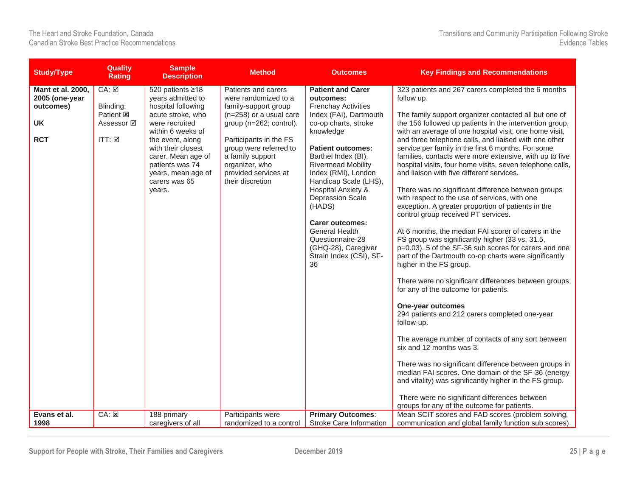| <b>Study/Type</b>                                                                                  | <b>Quality</b><br><b>Rating</b>                                                      | <b>Sample</b><br><b>Description</b>                                                                                                                                                                                                                                        | <b>Method</b>                                                                                                                                                                                                                                                                        | <b>Outcomes</b>                                                                                                                                                                                                                                                                                                                                                                                                                                                                                     | <b>Key Findings and Recommendations</b>                                                                                                                                                                                                                                                                                                                                                                                                                                                                                                                                                                                                                                                                                                                                                                                                                                                                                                                                                                                                                                                                                                                                                                                                                                                                                                                                                                                                                                                                                                                                                             |
|----------------------------------------------------------------------------------------------------|--------------------------------------------------------------------------------------|----------------------------------------------------------------------------------------------------------------------------------------------------------------------------------------------------------------------------------------------------------------------------|--------------------------------------------------------------------------------------------------------------------------------------------------------------------------------------------------------------------------------------------------------------------------------------|-----------------------------------------------------------------------------------------------------------------------------------------------------------------------------------------------------------------------------------------------------------------------------------------------------------------------------------------------------------------------------------------------------------------------------------------------------------------------------------------------------|-----------------------------------------------------------------------------------------------------------------------------------------------------------------------------------------------------------------------------------------------------------------------------------------------------------------------------------------------------------------------------------------------------------------------------------------------------------------------------------------------------------------------------------------------------------------------------------------------------------------------------------------------------------------------------------------------------------------------------------------------------------------------------------------------------------------------------------------------------------------------------------------------------------------------------------------------------------------------------------------------------------------------------------------------------------------------------------------------------------------------------------------------------------------------------------------------------------------------------------------------------------------------------------------------------------------------------------------------------------------------------------------------------------------------------------------------------------------------------------------------------------------------------------------------------------------------------------------------------|
| <b>Mant et al. 2000,</b><br>2005 (one-year<br>outcomes)<br><b>UK</b><br><b>RCT</b><br>Evans et al. | CA: ⊠<br>Blinding:<br>Patient <b>図</b><br>Assessor <b>☑</b><br>$ITT: \boxtimesCA: E$ | 520 patients ≥18<br>years admitted to<br>hospital following<br>acute stroke, who<br>were recruited<br>within 6 weeks of<br>the event, along<br>with their closest<br>carer. Mean age of<br>patients was 74<br>years, mean age of<br>carers was 65<br>years.<br>188 primary | Patients and carers<br>were randomized to a<br>family-support group<br>(n=258) or a usual care<br>group (n=262; control).<br>Participants in the FS<br>group were referred to<br>a family support<br>organizer, who<br>provided services at<br>their discretion<br>Participants were | <b>Patient and Carer</b><br>outcomes:<br><b>Frenchay Activities</b><br>Index (FAI), Dartmouth<br>co-op charts, stroke<br>knowledge<br><b>Patient outcomes:</b><br>Barthel Index (BI),<br><b>Rivermead Mobility</b><br>Index (RMI), London<br>Handicap Scale (LHS),<br><b>Hospital Anxiety &amp;</b><br><b>Depression Scale</b><br>(HADS)<br><b>Carer outcomes:</b><br><b>General Health</b><br>Questionnaire-28<br>(GHQ-28), Caregiver<br>Strain Index (CSI), SF-<br>36<br><b>Primary Outcomes:</b> | 323 patients and 267 carers completed the 6 months<br>follow up.<br>The family support organizer contacted all but one of<br>the 156 followed up patients in the intervention group,<br>with an average of one hospital visit, one home visit,<br>and three telephone calls, and liaised with one other<br>service per family in the first 6 months. For some<br>families, contacts were more extensive, with up to five<br>hospital visits, four home visits, seven telephone calls,<br>and liaison with five different services.<br>There was no significant difference between groups<br>with respect to the use of services, with one<br>exception. A greater proportion of patients in the<br>control group received PT services.<br>At 6 months, the median FAI scorer of carers in the<br>FS group was significantly higher (33 vs. 31.5,<br>p=0.03). 5 of the SF-36 sub scores for carers and one<br>part of the Dartmouth co-op charts were significantly<br>higher in the FS group.<br>There were no significant differences between groups<br>for any of the outcome for patients.<br>One-year outcomes<br>294 patients and 212 carers completed one-year<br>follow-up.<br>The average number of contacts of any sort between<br>six and 12 months was 3.<br>There was no significant difference between groups in<br>median FAI scores. One domain of the SF-36 (energy<br>and vitality) was significantly higher in the FS group.<br>There were no significant differences between<br>groups for any of the outcome for patients.<br>Mean SCIT scores and FAD scores (problem solving, |
| 1998                                                                                               |                                                                                      | caregivers of all                                                                                                                                                                                                                                                          | randomized to a control                                                                                                                                                                                                                                                              | Stroke Care Information                                                                                                                                                                                                                                                                                                                                                                                                                                                                             | communication and global family function sub scores)                                                                                                                                                                                                                                                                                                                                                                                                                                                                                                                                                                                                                                                                                                                                                                                                                                                                                                                                                                                                                                                                                                                                                                                                                                                                                                                                                                                                                                                                                                                                                |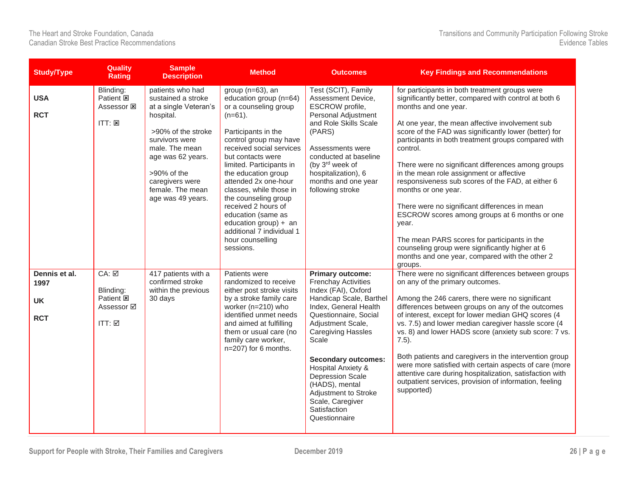| <b>Study/Type</b>                                | <b>Quality</b><br><b>Rating</b>                                       | <b>Sample</b><br><b>Description</b>                                                                                                                                                                                                    | <b>Method</b>                                                                                                                                                                                                                                                                                                                                                                                                                                           | <b>Outcomes</b>                                                                                                                                                                                                                                                                                                                                                                                    | <b>Key Findings and Recommendations</b>                                                                                                                                                                                                                                                                                                                                                                                                                                                                                                                                                                                                                                                                                                                                 |
|--------------------------------------------------|-----------------------------------------------------------------------|----------------------------------------------------------------------------------------------------------------------------------------------------------------------------------------------------------------------------------------|---------------------------------------------------------------------------------------------------------------------------------------------------------------------------------------------------------------------------------------------------------------------------------------------------------------------------------------------------------------------------------------------------------------------------------------------------------|----------------------------------------------------------------------------------------------------------------------------------------------------------------------------------------------------------------------------------------------------------------------------------------------------------------------------------------------------------------------------------------------------|-------------------------------------------------------------------------------------------------------------------------------------------------------------------------------------------------------------------------------------------------------------------------------------------------------------------------------------------------------------------------------------------------------------------------------------------------------------------------------------------------------------------------------------------------------------------------------------------------------------------------------------------------------------------------------------------------------------------------------------------------------------------------|
| <b>USA</b><br><b>RCT</b>                         | Blinding:<br>Patient <b>図</b><br>Assessor 図<br>ITT: E                 | patients who had<br>sustained a stroke<br>at a single Veteran's<br>hospital.<br>>90% of the stroke<br>survivors were<br>male. The mean<br>age was 62 years.<br>>90% of the<br>caregivers were<br>female. The mean<br>age was 49 years. | group (n=63), an<br>education group (n=64)<br>or a counseling group<br>$(n=61)$ .<br>Participants in the<br>control group may have<br>received social services<br>but contacts were<br>limited. Participants in<br>the education group<br>attended 2x one-hour<br>classes, while those in<br>the counseling group<br>received 2 hours of<br>education (same as<br>education group) $+$ an<br>additional 7 individual 1<br>hour counselling<br>sessions. | Test (SCIT), Family<br>Assessment Device,<br>ESCROW profile,<br>Personal Adjustment<br>and Role Skills Scale<br>(PARS)<br>Assessments were<br>conducted at baseline<br>(by 3rd week of<br>hospitalization), 6<br>months and one year<br>following stroke                                                                                                                                           | for participants in both treatment groups were<br>significantly better, compared with control at both 6<br>months and one year.<br>At one year, the mean affective involvement sub<br>score of the FAD was significantly lower (better) for<br>participants in both treatment groups compared with<br>control.<br>There were no significant differences among groups<br>in the mean role assignment or affective<br>responsiveness sub scores of the FAD, at either 6<br>months or one year.<br>There were no significant differences in mean<br>ESCROW scores among groups at 6 months or one<br>year.<br>The mean PARS scores for participants in the<br>counseling group were significantly higher at 6<br>months and one year, compared with the other 2<br>groups. |
| Dennis et al.<br>1997<br><b>UK</b><br><b>RCT</b> | CA: ☑<br>Blinding:<br>Patient <b>図</b><br>Assessor <b>Ø</b><br>ITT: ☑ | 417 patients with a<br>confirmed stroke<br>within the previous<br>30 days                                                                                                                                                              | Patients were<br>randomized to receive<br>either post stroke visits<br>by a stroke family care<br>worker (n=210) who<br>identified unmet needs<br>and aimed at fulfilling<br>them or usual care (no<br>family care worker,<br>n=207) for 6 months.                                                                                                                                                                                                      | <b>Primary outcome:</b><br><b>Frenchay Activities</b><br>Index (FAI), Oxford<br>Handicap Scale, Barthel<br>Index, General Health<br>Questionnaire, Social<br>Adjustment Scale,<br><b>Caregiving Hassles</b><br>Scale<br><b>Secondary outcomes:</b><br>Hospital Anxiety &<br><b>Depression Scale</b><br>(HADS), mental<br>Adjustment to Stroke<br>Scale, Caregiver<br>Satisfaction<br>Questionnaire | There were no significant differences between groups<br>on any of the primary outcomes.<br>Among the 246 carers, there were no significant<br>differences between groups on any of the outcomes<br>of interest, except for lower median GHQ scores (4<br>vs. 7.5) and lower median caregiver hassle score (4<br>vs. 8) and lower HADS score (anxiety sub score: 7 vs.<br>$7.5$ ).<br>Both patients and caregivers in the intervention group<br>were more satisfied with certain aspects of care (more<br>attentive care during hospitalization, satisfaction with<br>outpatient services, provision of information, feeling<br>supported)                                                                                                                               |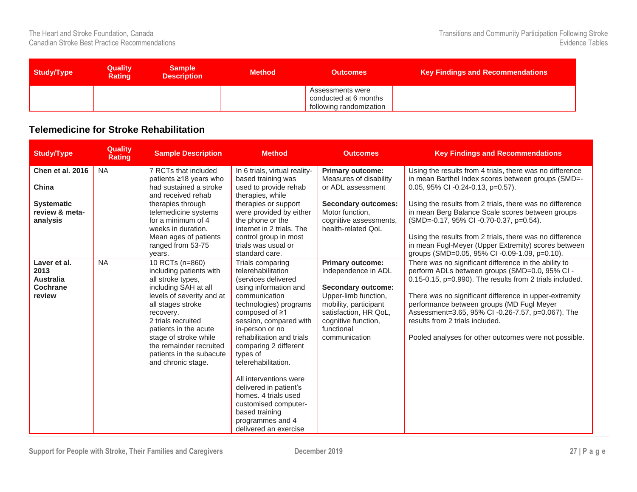| <b>Study/Type</b> | <b>Quality</b><br><b>Rating</b> | <b>Sample</b><br><b>Description</b> | <b>Method</b> | <b>Outcomes</b>                                                      | <b>Key Findings and Recommendations</b> |
|-------------------|---------------------------------|-------------------------------------|---------------|----------------------------------------------------------------------|-----------------------------------------|
|                   |                                 |                                     |               | Assessments were<br>conducted at 6 months<br>following randomization |                                         |

#### <span id="page-27-0"></span>**Telemedicine for Stroke Rehabilitation**

| <b>Study/Type</b>                                    | <b>Quality</b><br><b>Rating</b> | <b>Sample Description</b>                                                                                  | <b>Method</b>                                                                                                | <b>Outcomes</b>                                                                                             | <b>Key Findings and Recommendations</b>                                                                                                                                                     |
|------------------------------------------------------|---------------------------------|------------------------------------------------------------------------------------------------------------|--------------------------------------------------------------------------------------------------------------|-------------------------------------------------------------------------------------------------------------|---------------------------------------------------------------------------------------------------------------------------------------------------------------------------------------------|
| Chen et al. 2016                                     | <b>NA</b>                       | 7 RCTs that included<br>patients ≥18 years who                                                             | In 6 trials, virtual reality-<br>based training was                                                          | <b>Primary outcome:</b><br>Measures of disability                                                           | Using the results from 4 trials, there was no difference<br>in mean Barthel Index scores between groups (SMD=-                                                                              |
| China                                                |                                 | had sustained a stroke<br>and received rehab                                                               | used to provide rehab<br>therapies, while                                                                    | or ADL assessment                                                                                           | 0.05, 95% CI -0.24-0.13, p=0.57).                                                                                                                                                           |
| <b>Systematic</b><br>review & meta-                  |                                 | therapies through<br>telemedicine systems                                                                  | therapies or support<br>were provided by either                                                              | <b>Secondary outcomes:</b><br>Motor function,                                                               | Using the results from 2 trials, there was no difference<br>in mean Berg Balance Scale scores between groups                                                                                |
| analysis                                             |                                 | for a minimum of 4<br>weeks in duration.                                                                   | the phone or the<br>internet in 2 trials. The                                                                | cognitive assessments,<br>health-related OoL                                                                | (SMD=-0.17, 95% CI -0.70-0.37, p=0.54).                                                                                                                                                     |
|                                                      |                                 | Mean ages of patients<br>ranged from 53-75<br>years.                                                       | control group in most<br>trials was usual or<br>standard care.                                               |                                                                                                             | Using the results from 2 trials, there was no difference<br>in mean Fugl-Meyer (Upper Extremity) scores between<br>groups (SMD=0.05, 95% CI-0.09-1.09, p=0.10).                             |
| Laver et al.<br>2013<br><b>Australia</b><br>Cochrane | <b>NA</b>                       | 10 RCTs (n=860)<br>including patients with<br>all stroke types,<br>including SAH at all                    | Trials comparing<br>telerehabilitation<br>(services delivered<br>using information and                       | <b>Primary outcome:</b><br>Independence in ADL<br><b>Secondary outcome:</b>                                 | There was no significant difference in the ability to<br>perform ADLs between groups (SMD=0.0, 95% CI -<br>0.15-0.15, p=0.990). The results from 2 trials included.                         |
| review                                               |                                 | levels of severity and at<br>all stages stroke<br>recovery.<br>2 trials recruited<br>patients in the acute | communication<br>technologies) programs<br>composed of $\geq 1$<br>session, compared with<br>in-person or no | Upper-limb function,<br>mobility, participant<br>satisfaction, HR QoL,<br>cognitive function,<br>functional | There was no significant difference in upper-extremity<br>performance between groups (MD Fugl Meyer<br>Assessment=3.65, 95% CI -0.26-7.57, p=0.067). The<br>results from 2 trials included. |
|                                                      |                                 | stage of stroke while<br>the remainder recruited<br>patients in the subacute<br>and chronic stage.         | rehabilitation and trials<br>comparing 2 different<br>types of<br>telerehabilitation.                        | communication                                                                                               | Pooled analyses for other outcomes were not possible.                                                                                                                                       |
|                                                      |                                 |                                                                                                            | All interventions were<br>delivered in patient's<br>homes. 4 trials used                                     |                                                                                                             |                                                                                                                                                                                             |
|                                                      |                                 |                                                                                                            | customised computer-<br>based training<br>programmes and 4                                                   |                                                                                                             |                                                                                                                                                                                             |
|                                                      |                                 |                                                                                                            | delivered an exercise                                                                                        |                                                                                                             |                                                                                                                                                                                             |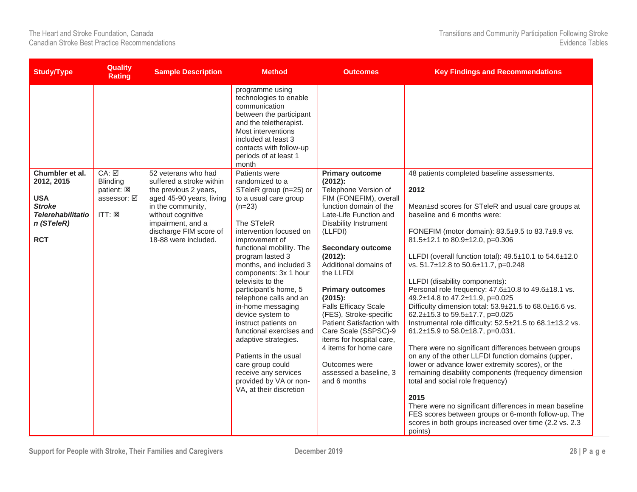| <b>Study/Type</b>                                                                                                    | <b>Rating</b>                                                                                     | <b>Sample Description</b>                                                                                                                                                                                             | <b>Method</b>                                                                                                                                                                                                                                                                                                                                                                                                                                                                                                                            | <b>Outcomes</b>                                                                                                                                                                                                                                                                                  | <b>Key Findings and Recommendations</b>                                                                                                                                                                                                                                                                                                                                                                                           |
|----------------------------------------------------------------------------------------------------------------------|---------------------------------------------------------------------------------------------------|-----------------------------------------------------------------------------------------------------------------------------------------------------------------------------------------------------------------------|------------------------------------------------------------------------------------------------------------------------------------------------------------------------------------------------------------------------------------------------------------------------------------------------------------------------------------------------------------------------------------------------------------------------------------------------------------------------------------------------------------------------------------------|--------------------------------------------------------------------------------------------------------------------------------------------------------------------------------------------------------------------------------------------------------------------------------------------------|-----------------------------------------------------------------------------------------------------------------------------------------------------------------------------------------------------------------------------------------------------------------------------------------------------------------------------------------------------------------------------------------------------------------------------------|
| Chumbler et al.<br>2012, 2015<br><b>USA</b><br><b>Stroke</b><br><b>Telerehabilitatio</b><br>n (STeleR)<br><b>RCT</b> | <b>Quality</b><br>$CA: \overline{M}$<br>Blinding<br>patient: E<br>assessor: Ø<br>$ITT: \boxtimes$ | 52 veterans who had<br>suffered a stroke within<br>the previous 2 years,<br>aged 45-90 years, living<br>in the community,<br>without cognitive<br>impairment, and a<br>discharge FIM score of<br>18-88 were included. | programme using<br>technologies to enable<br>communication<br>between the participant<br>and the teletherapist.<br>Most interventions<br>included at least 3<br>contacts with follow-up<br>periods of at least 1<br>month<br>Patients were<br>randomized to a<br>STeleR group (n=25) or<br>to a usual care group<br>$(n=23)$<br>The STeleR<br>intervention focused on<br>improvement of<br>functional mobility. The<br>program lasted 3<br>months, and included 3<br>components: 3x 1 hour<br>televisits to the<br>participant's home, 5 | <b>Primary outcome</b><br>$(2012)$ :<br>Telephone Version of<br>FIM (FONEFIM), overall<br>function domain of the<br>Late-Life Function and<br><b>Disability Instrument</b><br>(LLFDI)<br><b>Secondary outcome</b><br>$(2012)$ :<br>Additional domains of<br>the LLFDI<br><b>Primary outcomes</b> | 48 patients completed baseline assessments.<br>2012<br>Mean±sd scores for STeleR and usual care groups at<br>baseline and 6 months were:<br>FONEFIM (motor domain): 83.5±9.5 to 83.7±9.9 vs.<br>81.5±12.1 to 80.9±12.0, p=0.306<br>LLFDI (overall function total): $49.5\pm10.1$ to $54.6\pm12.0$<br>vs. 51.7±12.8 to 50.6±11.7, p=0.248<br>LLFDI (disability components):<br>Personal role frequency: 47.6±10.8 to 49.6±18.1 vs. |
|                                                                                                                      |                                                                                                   |                                                                                                                                                                                                                       | telephone calls and an<br>in-home messaging<br>device system to<br>instruct patients on<br>functional exercises and<br>adaptive strategies.                                                                                                                                                                                                                                                                                                                                                                                              | (2015):<br><b>Falls Efficacy Scale</b><br>(FES), Stroke-specific<br>Patient Satisfaction with<br>Care Scale (SSPSC)-9<br>items for hospital care,                                                                                                                                                | 49.2±14.8 to 47.2±11.9, p=0.025<br>Difficulty dimension total: 53.9±21.5 to 68.0±16.6 vs.<br>62.2±15.3 to 59.5±17.7, p=0.025<br>Instrumental role difficulty: 52.5±21.5 to 68.1±13.2 vs.<br>61.2±15.9 to 58.0±18.7, p=0.031.                                                                                                                                                                                                      |
|                                                                                                                      |                                                                                                   |                                                                                                                                                                                                                       | Patients in the usual<br>care group could<br>receive any services<br>provided by VA or non-<br>VA, at their discretion                                                                                                                                                                                                                                                                                                                                                                                                                   | 4 items for home care<br>Outcomes were<br>assessed a baseline, 3<br>and 6 months                                                                                                                                                                                                                 | There were no significant differences between groups<br>on any of the other LLFDI function domains (upper,<br>lower or advance lower extremity scores), or the<br>remaining disability components (frequency dimension<br>total and social role frequency)                                                                                                                                                                        |
|                                                                                                                      |                                                                                                   |                                                                                                                                                                                                                       |                                                                                                                                                                                                                                                                                                                                                                                                                                                                                                                                          |                                                                                                                                                                                                                                                                                                  | 2015<br>There were no significant differences in mean baseline<br>FES scores between groups or 6-month follow-up. The<br>scores in both groups increased over time (2.2 vs. 2.3)<br>points)                                                                                                                                                                                                                                       |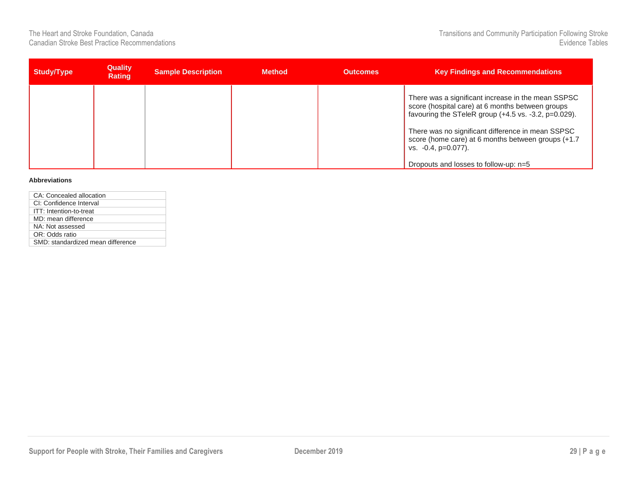| There was a significant increase in the mean SSPSC                                                                                                                                                                                                                                         | <b>Key Findings and Recommendations</b> |
|--------------------------------------------------------------------------------------------------------------------------------------------------------------------------------------------------------------------------------------------------------------------------------------------|-----------------------------------------|
| score (hospital care) at 6 months between groups<br>favouring the STeleR group (+4.5 vs. -3.2, p=0.029).<br>There was no significant difference in mean SSPSC<br>score (home care) at 6 months between groups (+1.7)<br>vs. $-0.4$ , $p=0.077$ ).<br>Dropouts and losses to follow-up: n=5 |                                         |

#### **Abbreviations**

| CA: Concealed allocation          |
|-----------------------------------|
| CI: Confidence Interval           |
| ITT: Intention-to-treat           |
| MD: mean difference               |
| NA: Not assessed                  |
| OR: Odds ratio                    |
| SMD: standardized mean difference |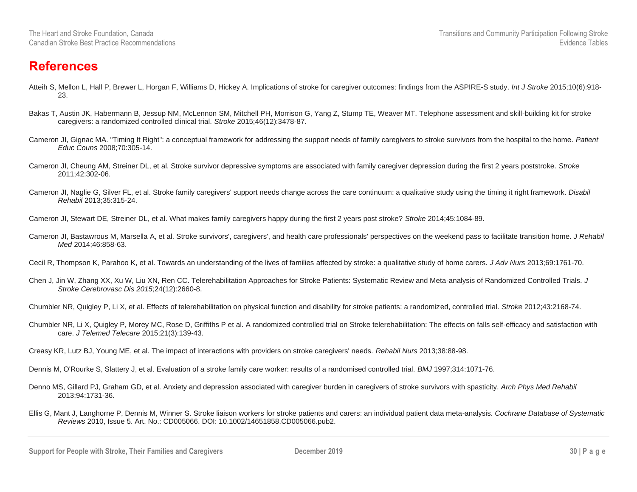#### <span id="page-30-0"></span>**References**

- Atteih S, Mellon L, Hall P, Brewer L, Horgan F, Williams D, Hickey A. Implications of stroke for caregiver outcomes: findings from the ASPIRE-S study. *Int J Stroke* 2015;10(6):918- 23.
- Bakas T, Austin JK, Habermann B, Jessup NM, McLennon SM, Mitchell PH, Morrison G, Yang Z, Stump TE, Weaver MT. Telephone assessment and skill-building kit for stroke caregivers: a randomized controlled clinical trial. *Stroke* 2015;46(12):3478-87.
- Cameron JI, Gignac MA. "Timing It Right": a conceptual framework for addressing the support needs of family caregivers to stroke survivors from the hospital to the home. *Patient Educ Couns* 2008;70:305-14.
- Cameron JI, Cheung AM, Streiner DL, et al. Stroke survivor depressive symptoms are associated with family caregiver depression during the first 2 years poststroke. *Stroke* 2011;42:302-06.
- Cameron JI, Naglie G, Silver FL, et al. Stroke family caregivers' support needs change across the care continuum: a qualitative study using the timing it right framework. *Disabil Rehabil* 2013;35:315-24.

Cameron JI, Stewart DE, Streiner DL, et al. What makes family caregivers happy during the first 2 years post stroke? *Stroke* 2014;45:1084-89.

- Cameron JI, Bastawrous M, Marsella A, et al. Stroke survivors', caregivers', and health care professionals' perspectives on the weekend pass to facilitate transition home. *J Rehabil Med* 2014;46:858-63.
- Cecil R, Thompson K, Parahoo K, et al. Towards an understanding of the lives of families affected by stroke: a qualitative study of home carers. *J Adv Nurs* 2013;69:1761-70.
- Chen J, Jin W, Zhang XX, Xu W, Liu XN, Ren CC. Telerehabilitation Approaches for Stroke Patients: Systematic Review and Meta-analysis of Randomized Controlled Trials. *J Stroke Cerebrovasc Dis 2015*;24(12):2660-8.

Chumbler NR, Quigley P, Li X, et al. Effects of telerehabilitation on physical function and disability for stroke patients: a randomized, controlled trial*. Stroke* 2012;43:2168-74.

- Chumbler NR, Li X, Quigley P, Morey MC, Rose D, Griffiths P et al. A randomized controlled trial on Stroke telerehabilitation: The effects on falls self-efficacy and satisfaction with care. *J Telemed Telecare* 2015;21(3):139-43.
- Creasy KR, Lutz BJ, Young ME, et al. The impact of interactions with providers on stroke caregivers' needs. *Rehabil Nurs* 2013;38:88-98.

Dennis M, O'Rourke S, Slattery J, et al. Evaluation of a stroke family care worker: results of a randomised controlled trial. *BMJ* 1997;314:1071-76.

- Denno MS, Gillard PJ, Graham GD, et al. Anxiety and depression associated with caregiver burden in caregivers of stroke survivors with spasticity. *Arch Phys Med Rehabil* 2013;94:1731-36.
- Ellis G, Mant J, Langhorne P, Dennis M, Winner S. Stroke liaison workers for stroke patients and carers: an individual patient data meta-analysis. *Cochrane Database of Systematic Reviews* 2010, Issue 5. Art. No.: CD005066. DOI: 10.1002/14651858.CD005066.pub2.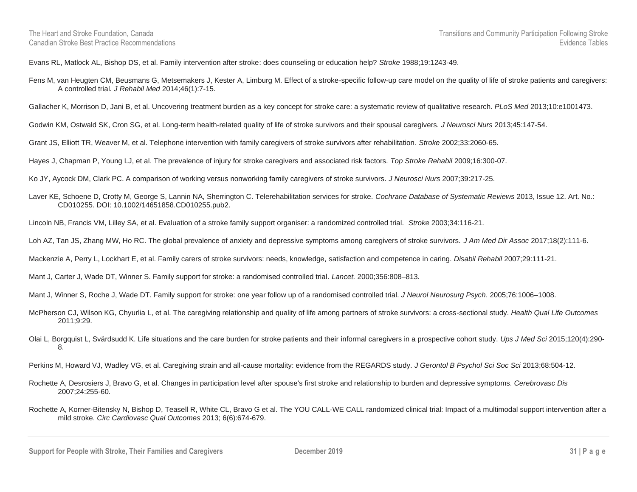Evans RL, Matlock AL, Bishop DS, et al. Family intervention after stroke: does counseling or education help? *Stroke* 1988;19:1243-49.

Fens M, van Heugten CM, Beusmans G, Metsemakers J, Kester A, Limburg M. Effect of a stroke-specific follow-up care model on the quality of life of stroke patients and caregivers: A controlled trial*. J Rehabil Med* 2014;46(1):7-15.

Gallacher K, Morrison D, Jani B, et al. Uncovering treatment burden as a key concept for stroke care: a systematic review of qualitative research. *PLoS Med* 2013;10:e1001473.

Godwin KM, Ostwald SK, Cron SG, et al. Long-term health-related quality of life of stroke survivors and their spousal caregivers. *J Neurosci Nurs* 2013;45:147-54.

Grant JS, Elliott TR, Weaver M, et al. Telephone intervention with family caregivers of stroke survivors after rehabilitation. *Stroke* 2002;33:2060-65.

Hayes J, Chapman P, Young LJ, et al. The prevalence of injury for stroke caregivers and associated risk factors. *Top Stroke Rehabil* 2009;16:300-07.

Ko JY, Aycock DM, Clark PC. A comparison of working versus nonworking family caregivers of stroke survivors. *J Neurosci Nurs* 2007;39:217-25.

Laver KE, Schoene D, Crotty M, George S, Lannin NA, Sherrington C. Telerehabilitation services for stroke. *Cochrane Database of Systematic Reviews* 2013, Issue 12. Art. No.: CD010255. DOI: 10.1002/14651858.CD010255.pub2.

Lincoln NB, Francis VM, Lilley SA, et al. Evaluation of a stroke family support organiser: a randomized controlled trial. *Stroke* 2003;34:116-21.

Loh AZ, Tan JS, Zhang MW, Ho RC. The global prevalence of anxiety and depressive symptoms among caregivers of stroke survivors. *J Am Med Dir Assoc* 2017;18(2):111-6.

Mackenzie A, Perry L, Lockhart E, et al. Family carers of stroke survivors: needs, knowledge, satisfaction and competence in caring. *Disabil Rehabil* 2007;29:111-21.

Mant J, Carter J, Wade DT, Winner S. Family support for stroke: a randomised controlled trial. *Lancet.* 2000;356:808–813.

Mant J, Winner S, Roche J, Wade DT. Family support for stroke: one year follow up of a randomised controlled trial. *J Neurol Neurosurg Psych*. 2005;76:1006–1008.

- McPherson CJ, Wilson KG, Chyurlia L, et al. The caregiving relationship and quality of life among partners of stroke survivors: a cross-sectional study. *Health Qual Life Outcomes* 2011;9:29.
- Olai L, Borgquist L, Svärdsudd K. Life situations and the care burden for stroke patients and their informal caregivers in a prospective cohort study. *Ups J Med Sci* 2015;120(4):290- 8.

Perkins M, Howard VJ, Wadley VG, et al. Caregiving strain and all-cause mortality: evidence from the REGARDS study. *J Gerontol B Psychol Sci Soc Sci* 2013;68:504-12.

Rochette A, Desrosiers J, Bravo G, et al. Changes in participation level after spouse's first stroke and relationship to burden and depressive symptoms. *Cerebrovasc Dis* 2007;24:255-60.

**Support for People with Stroke, Their Families and Caregivers <b>December 2019 31 P** a g e

Rochette A, Korner-Bitensky N, Bishop D, Teasell R, White CL, Bravo G et al. The YOU CALL-WE CALL randomized clinical trial: Impact of a multimodal support intervention after a mild stroke. *Circ Cardiovasc Qual Outcomes* 2013; 6(6):674-679.